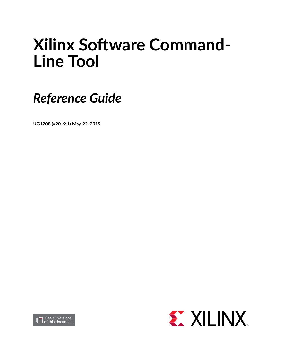# **Xilinx Software Command-Line Tool**

*Reference Guide*

**UG1208 (v2019.1) May 22, 2019**



See all versions [of this document](https://www.xilinx.com/bin/public/docSeeAllVersions?productType=DesignTools&documentId=UG1208)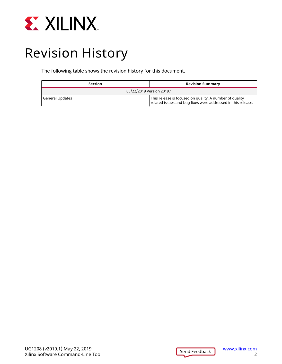<span id="page-1-0"></span>

# Revision History

The following table shows the revision history for this document.

| <b>Section</b>            | <b>Revision Summary</b>                                                                                                 |  |
|---------------------------|-------------------------------------------------------------------------------------------------------------------------|--|
| 05/22/2019 Version 2019.1 |                                                                                                                         |  |
| l General Updates         | This release is focused on quality. A number of quality<br>related issues and bug fixes were addressed in this release. |  |

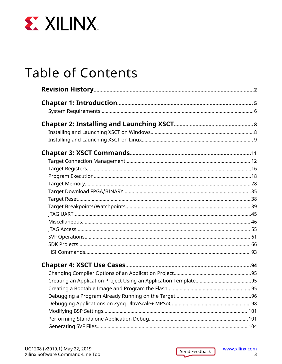

# **Table of Contents**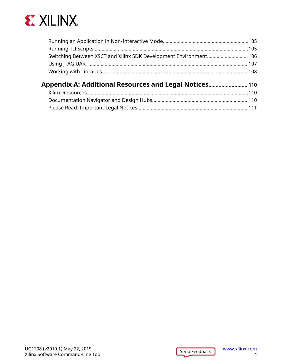

| Switching Between XSCT and Xilinx SDK Development Environment 106 |  |
|-------------------------------------------------------------------|--|
|                                                                   |  |
|                                                                   |  |
|                                                                   |  |
|                                                                   |  |
| Appendix A: Additional Resources and Legal Notices 110            |  |
|                                                                   |  |
|                                                                   |  |
|                                                                   |  |

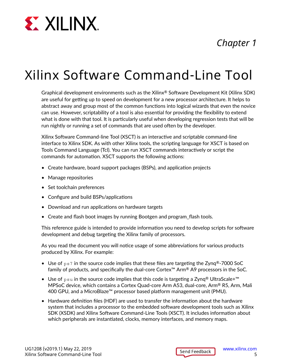<span id="page-4-0"></span>

# *Chapter 1*

# Xilinx Software Command-Line Tool

Graphical development environments such as the Xilinx® Software Development Kit (Xilinx SDK) are useful for getting up to speed on development for a new processor architecture. It helps to abstract away and group most of the common functions into logical wizards that even the novice can use. However, scriptability of a tool is also essential for providing the flexibility to extend what is done with that tool. It is particularly useful when developing regression tests that will be run nightly or running a set of commands that are used often by the developer.

Xilinx Software Command-line Tool (XSCT) is an interactive and scriptable command-line interface to Xilinx SDK. As with other Xilinx tools, the scripting language for XSCT is based on Tools Command Language (Tcl). You can run XSCT commands interactively or script the commands for automation. XSCT supports the following actions:

- Create hardware, board support packages (BSPs), and application projects
- Manage repositories
- Set toolchain preferences
- Configure and build BSPs/applications
- Download and run applications on hardware targets
- Create and flash boot images by running Bootgen and program\_flash tools.

This reference guide is intended to provide information you need to develop scripts for software development and debug targeting the Xilinx family of processors.

As you read the document you will notice usage of some abbreviations for various products produced by Xilinx. For example:

- Use of  $ps7$  in the source code implies that these files are targeting the Zynq®-7000 SoC family of products, and specifically the dual-core Cortex™ Arm® A9 processors in the SoC.
- Use of  $psu$  in the source code implies that this code is targeting a Zynq® UltraScale+<sup>™</sup> MPSoC device, which contains a Cortex Quad-core Arm A53, dual-core, Arm® R5, Arm, Mali 400 GPU, and a MicroBlaze™ processor based platform management unit (PMU).
- Hardware definition files (HDF) are used to transfer the information about the hardware system that includes a processor to the embedded software development tools such as Xilinx SDK (XSDK) and Xilinx Software Command-Line Tools (XSCT). It includes information about which peripherals are instantiated, clocks, memory interfaces, and memory maps.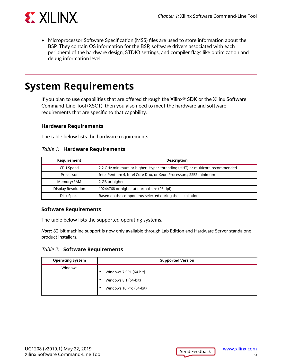<span id="page-5-0"></span>

• Microprocessor Software Specification (MSS) files are used to store information about the BSP. They contain OS information for the BSP, software drivers associated with each peripheral of the hardware design, STDIO settings, and compiler flags like optimization and debug information level.

# **System Requirements**

If you plan to use capabilities that are offered through the Xilinx® SDK or the Xilinx Software Command-Line Tool (XSCT), then you also need to meet the hardware and software requirements that are specific to that capability.

#### **Hardware Requirements**

The table below lists the hardware requirements.

| Requirement        | <b>Description</b>                                                         |
|--------------------|----------------------------------------------------------------------------|
| CPU Speed          | 2.2 GHz minimum or higher; Hyper-threading (HHT) or multicore recommended. |
| Processor          | Intel Pentium 4, Intel Core Duo, or Xeon Processors; SSE2 minimum          |
| Memory/RAM         | 2 GB or higher                                                             |
| Display Resolution | 1024×768 or higher at normal size (96 dpi)                                 |
| Disk Space         | Based on the components selected during the installation                   |

#### *Table 1:* **Hardware Requirements**

#### **Software Requirements**

The table below lists the supported operating systems.

*Note***:** 32-bit machine support is now only available through Lab Edition and Hardware Server standalone product installers.

*Table 2:* **Software Requirements**

| <b>Operating System</b> | <b>Supported Version</b>                                                            |
|-------------------------|-------------------------------------------------------------------------------------|
| Windows                 | Windows 7 SP1 (64-bit)<br>٠<br>Windows 8.1 (64-bit)<br>٠<br>Windows 10 Pro (64-bit) |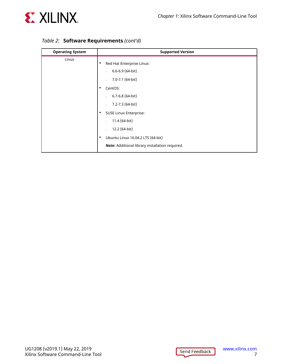

| <b>Operating System</b> | <b>Supported Version</b>                                                                                                                                                                                                                                                                                                                                                                      |
|-------------------------|-----------------------------------------------------------------------------------------------------------------------------------------------------------------------------------------------------------------------------------------------------------------------------------------------------------------------------------------------------------------------------------------------|
| Linux                   | Red Hat Enterprise Linux:<br>$\bullet$<br>6.6-6.9 (64-bit)<br>$\circ$<br>7.0-7.1 (64-bit)<br>$\circ$<br>CentOS:<br>$\bullet$<br>6.7-6.8 (64-bit)<br>$\circ$<br>7.2-7.3 (64-bit)<br>$\circ$<br><b>SUSE Linux Enterprise:</b><br>$\bullet$<br>11.4 (64-bit)<br>$\circ$<br>12.2 (64-bit)<br>$\circ$<br>Ubuntu Linux 16.04.2 LTS (64-bit)<br>٠<br>Note: Additional library installation required. |

#### *Table 2:* **Software Requirements** *(cont'd)*

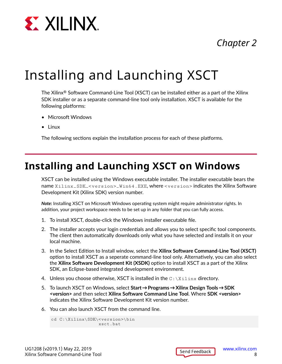<span id="page-7-0"></span>

# *Chapter 2*

# Installing and Launching XSCT

The Xilinx<sup>®</sup> Software Command-Line Tool (XSCT) can be installed either as a part of the Xilinx SDK installer or as a separate command-line tool only installation. XSCT is available for the following platforms:

- Microsoft Windows
- Linux

The following sections explain the installation process for each of these platforms.

# **Installing and Launching XSCT on Windows**

XSCT can be installed using the Windows executable installer. The installer executable bears the name Xilinx\_SDK\_<version>\_Win64.EXE, where <version> indicates the Xilinx Software Development Kit (Xilinx SDK) version number.

*Note***:** Installing XSCT on Microsoft Windows operating system might require administrator rights. In addition, your project workspace needs to be set up in any folder that you can fully access.

- 1. To install XSCT, double-click the Windows installer executable file.
- 2. The installer accepts your login credentials and allows you to select specific tool components. The client then automatically downloads only what you have selected and installs it on your local machine.
- 3. In the Select Edition to Install window, select the **Xilinx Software Command-Line Tool (XSCT)** option to install XSCT as a seperate command-line tool only. Alternatively, you can also select the **Xilinx Software Development Kit (XSDK)** option to install XSCT as a part of the Xilinx SDK, an Eclipse-based integrated development environment.
- 4. Unless you choose otherwise, XSCT is installed in the  $C:\chi$  illinx directory.
- 5. To launch XSCT on Windows, select **Start → Programs → Xilinx Design Tools → SDK <version>** and then select **Xilinx Software Command Line Tool**. Where **SDK <version>** indicates the Xilinx Software Development Kit version number.
- 6. You can also launch XSCT from the command line.

```
cd C:\Xilinx\SDK\<version>\bin
                  xsct.bat
```
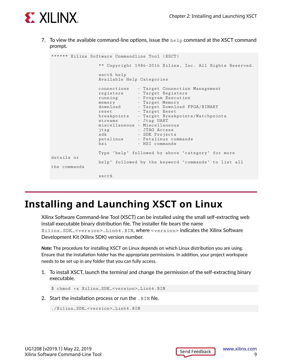<span id="page-8-0"></span>

7. To view the available command-line options, issue the  $he1p$  command at the XSCT command prompt.

```
****** Xilinx Software Commandline Tool (XSCT) 
              ** Copyright 1986-2016 Xilinx, Inc. All Rights Reserved.
              xsct% help
              Available Help Categories
              connections - Target Connection Management
registers - Target Registers
running The Program Execution
memory - Target Memory
download - Target Download FPGA/BINARY
reset - Target Reset
breakpoints - Target Breakpoints/Watchpoints
streams - Jtag UART
              miscellaneous - Miscellaneous
             jtag - JTAG Access
             sdk - SDK Projects
             petalinux - Petalinux commands
             hsi - HSI commands
              Type "help" followed by above "category" for more 
details or
              help" followed by the keyword "commands" to list all 
the commands
              xsct%
```
# **Installing and Launching XSCT on Linux**

Xilinx Software Command-line Tool (XSCT) can be installed using the small self-extracting web install executable binary distribution file. The installer file bears the name Xilinx\_SDK\_<version>\_Lin64.BIN, where <version> indicates the Xilinx Software Development Kit (Xilinx SDK) version number.

*Note***:** The procedure for installing XSCT on Linux depends on which Linux distribution you are using. Ensure that the installation folder has the appropriate permissions. In addition, your project workspace needs to be set up in any folder that you can fully access.

1. To install XSCT, launch the terminal and change the permission of the self-extracting binary executable.

```
$ chmod +x Xilinx_SDK_<version>_Lin64.BIN
```
2. Start the installation process or run the . BIN file.

```
./Xilinx_SDK_<version>_Lin64.BIN
```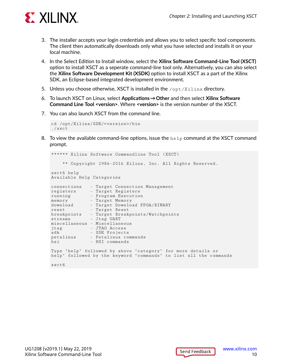

- 3. The installer accepts your login credentials and allows you to select specific tool components. The client then automatically downloads only what you have selected and installs it on your local machine.
- 4. In the Select Edition to Install window, select the **Xilinx Software Command-Line Tool (XSCT)** option to install XSCT as a seperate command-line tool only. Alternatively, you can also select the **Xilinx Software Development Kit (XSDK)** option to install XSCT as a part of the Xilinx SDK, an Eclipse-based integrated development environment.
- 5. Unless you choose otherwise, XSCT is installed in the  $\sqrt{\text{opt/Xilinx}}$  directory.
- 6. To launch XSCT on Linux, select **Applications → Other** and then select **Xilinx Software Command Line Tool <version>**. Where **<version>** is the version number of the XSCT.
- 7. You can also launch XSCT from the command line.

```
cd /opt/Xilinx/SDK/<version>/bin
./xsct
```
8. To view the available command-line options, issue the  $h$ elp command at the XSCT command prompt.

```
****** Xilinx Software Commandline Tool (XSCT) 
     ** Copyright 1986-2016 Xilinx, Inc. All Rights Reserved.
xsct% help
Available Help Categories
connections - Target Connection Management
registers - Target Registers
running - Program Execution
memory - Target Memory<br>download - Target Download
            - Target Download FPGA/BINARY
reset - Target Reset
breakpoints - Target Breakpoints/Watchpoints
streams - Jtag UART
miscellaneous - Miscellaneous
jtag - JTAG Access
sdk - SDK Projects
petalinux - Petalinux commands
hsi - HSI commands
Type "help" followed by above "category" for more details or
help" followed by the keyword "commands" to list all the commands
xsct%
```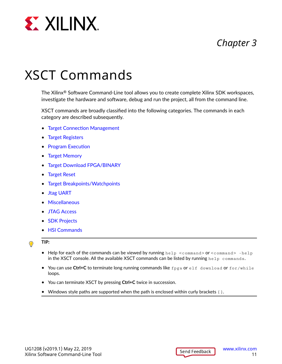<span id="page-10-0"></span>

# *Chapter 3*

# XSCT Commands

The Xilinx<sup>®</sup> Software Command-Line tool allows you to create complete Xilinx SDK workspaces, investigate the hardware and software, debug and run the project, all from the command line.

XSCT commands are broadly classified into the following categories. The commands in each category are described subsequently.

- [Target Connection Management](#page-11-0)
- [Target Registers](#page-15-0)
- [Program Execution](#page-17-0)
- [Target Memory](#page-27-0)
- [Target Download FPGA/BINARY](#page-34-0)
- [Target Reset](#page-37-0)
- [Target Breakpoints/Watchpoints](#page-38-0)
- [Jtag UART](#page-44-0)
- [Miscellaneous](#page-45-0)
- [JTAG Access](#page-54-0)
- [SDK Projects](#page-65-0)
- [HSI Commands](#page-92-0)

#### **TIP***:*

 $\bigcirc$ 

- Help for each of the commands can be viewed by running  $h \in l_p$  <command> or <command> -help in the XSCT console. All the available XSCT commands can be listed by running  $he1p$  commands.
- You can use Ctrl+C to terminate long running commands like fpga or elf download or for/while loops.
- You can terminate XSCT by pressing **Ctrl+C** twice in succession.
- Windows style paths are supported when the path is enclosed within curly brackets  $\{\}.$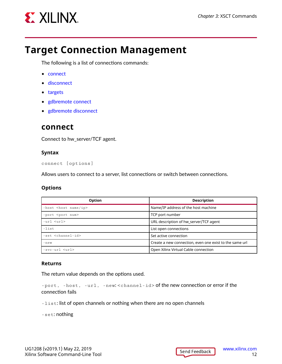<span id="page-11-0"></span>

# **Target Connection Management**

The following is a list of connections commands:

- connect
- [disconnect](#page-12-0)
- [targets](#page-12-0)
- [gdbremote connect](#page-14-0)
- [gdbremote disconnect](#page-14-0)

### **connect**

Connect to hw\_server/TCF agent.

#### **Syntax**

connect [options]

Allows users to connect to a server, list connections or switch between connections.

#### **Options**

| <b>Option</b>                     | <b>Description</b>                                      |
|-----------------------------------|---------------------------------------------------------|
| -host <host ip="" name=""></host> | Name/IP address of the host machine                     |
| -port <port num=""></port>        | TCP port number                                         |
| $-ur1 < u r1$                     | URL description of hw_server/TCF agent                  |
| $-1$ ist                          | List open connections                                   |
| -set <channel-id></channel-id>    | Set active connection                                   |
| $-new$                            | Create a new connection, even one exist to the same url |
| $-xvc-url$ $<$ url>               | Open Xilinx Virtual Cable connection                    |

#### **Returns**

The return value depends on the options used.

-port, -host, -url, -new: < channel-id> of the new connection or error if the connection fails

-list: list of open channels or nothing when there are no open channels

-set: nothing

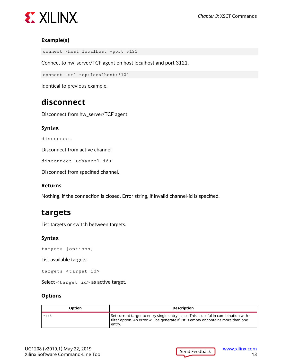<span id="page-12-0"></span>

#### **Example(s)**

connect -host localhost -port 3121

Connect to hw\_server/TCF agent on host localhost and port 3121.

connect -url tcp:localhost:3121

Identical to previous example.

## **disconnect**

Disconnect from hw\_server/TCF agent.

#### **Syntax**

disconnect

Disconnect from active channel.

disconnect <channel-id>

Disconnect from specified channel.

#### **Returns**

Nothing, if the connection is closed. Error string, if invalid channel-id is specified.

### **targets**

List targets or switch between targets.

#### **Syntax**

targets [options]

List available targets.

targets <target id>

Select <target id> as active target.

#### **Options**

| <b>Option</b> | <b>Description</b>                                                                                                                                                                       |
|---------------|------------------------------------------------------------------------------------------------------------------------------------------------------------------------------------------|
| $-$ set       | Set current target to entry single entry in list. This is useful in comibination with -<br>filter option. An error will be generate if list is empty or contains more than one<br>entry. |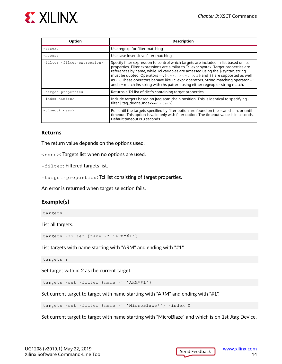

| <b>Option</b>                                   | <b>Description</b>                                                                                                                                                                                                                                                                                                                                                                                                                                                                                                                              |
|-------------------------------------------------|-------------------------------------------------------------------------------------------------------------------------------------------------------------------------------------------------------------------------------------------------------------------------------------------------------------------------------------------------------------------------------------------------------------------------------------------------------------------------------------------------------------------------------------------------|
| -regexp                                         | Use regexp for filter matching                                                                                                                                                                                                                                                                                                                                                                                                                                                                                                                  |
| -nocase                                         | Use case insensitive filter matching                                                                                                                                                                                                                                                                                                                                                                                                                                                                                                            |
| -filter <filter-expression></filter-expression> | Specify filter expression to control which targets are included in list based on its<br>properties. Filter expressions are similar to Tcl expr syntax. Target properties are<br>references by name, while Tcl variables are accessed using the \$ syntax, string<br>must be quoted. Operators ==, !=, <=, >=, <, >, && and $\overline{1}$ are supported as well<br>as (). These operators behave like Tcl expr operators. String matching operator $=$ $\sim$<br>and ! ~ match lhs string with rhs pattern using either regexp or string match. |
| -target-properties                              | Returns a Tcl list of dict's containing target properties.                                                                                                                                                                                                                                                                                                                                                                                                                                                                                      |
| -index <index></index>                          | Include targets based on jtag scan chain position. This is identical to specifying -<br>filter {jtaq_device_index== <index>}.</index>                                                                                                                                                                                                                                                                                                                                                                                                           |
| -timeout <sec></sec>                            | Poll until the targets specified by filter option are found on the scan chain, or until<br>timeout. This option is valid only with filter option. The timeout value is in seconds.<br>Default timeout is 3 seconds                                                                                                                                                                                                                                                                                                                              |

#### **Returns**

The return value depends on the options used.

<none>: Targets list when no options are used.

-filter: Filtered targets list.

-target-properties: Tcl list consisting of target properties.

An error is returned when target selection fails.

#### **Example(s)**

targets

List all targets.

targets -filter {name =~ "ARM\*#1"}

List targets with name starting with "ARM" and ending with "#1".

targets 2

Set target with id 2 as the current target.

targets -set -filter  ${\{name = " ARM*#1" } \}$ 

Set current target to target with name starting with "ARM" and ending with "#1".

targets -set -filter {name =~ "MicroBlaze\*"} -index 0

Set current target to target with name starting with "MicroBlaze" and which is on 1st Jtag Device.

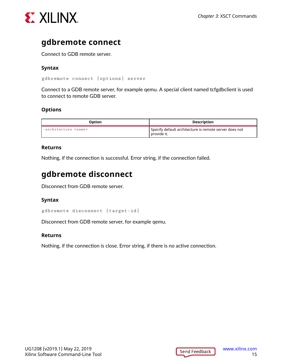<span id="page-14-0"></span>

### **gdbremote connect**

Connect to GDB remote server.

#### **Syntax**

gdbremote connect [options] server

Connect to a GDB remote server, for example qemu. A special client named tcfgdbclient is used to connect to remote GDB server.

#### **Options**

| Option                      | <b>Description</b>                                                    |
|-----------------------------|-----------------------------------------------------------------------|
| -architecture <name></name> | Specify default architecture is remote server does not<br>provide it. |

#### **Returns**

Nothing, if the connection is successful. Error string, if the connection failed.

## **gdbremote disconnect**

Disconnect from GDB remote server.

#### **Syntax**

gdbremote disconnect [target-id]

Disconnect from GDB remote server, for example qemu.

#### **Returns**

Nothing, if the connection is close. Error string, if there is no active connection.

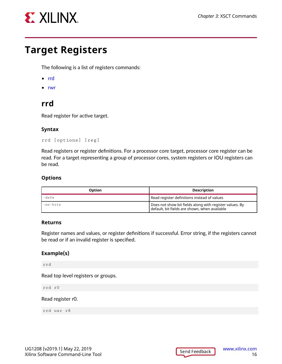<span id="page-15-0"></span>

# **Target Registers**

The following is a list of registers commands:

- rrd
- [rwr](#page-16-0)

### **rrd**

Read register for active target.

#### **Syntax**

```
rrd [options] [reg]
```
Read registers or register definitions. For a processor core target, processor core register can be read. For a target representing a group of processor cores, system registers or IOU registers can be read.

#### **Options**

| Option   | <b>Description</b>                                                                                       |
|----------|----------------------------------------------------------------------------------------------------------|
| -defs    | Read register definitions instead of values                                                              |
| -no-bits | Does not show bit fields along with register values. By<br>default, bit fields are shown, when available |

#### **Returns**

Register names and values, or register definitions if successful. Error string, if the registers cannot be read or if an invalid register is specified.

#### **Example(s)**

rrd

Read top level registers or groups.

rrd r0

Read register r0.

rrd usr r8

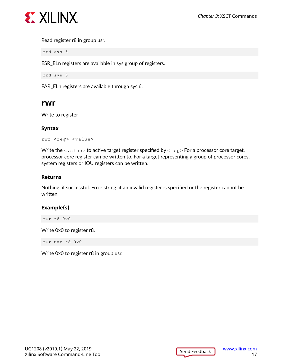<span id="page-16-0"></span>

Read register r8 in group usr.

rrd sys 5

ESR\_ELn registers are available in sys group of registers.

rrd sys 6

FAR\_ELn registers are available through sys 6.

#### **rwr**

Write to register

#### **Syntax**

rwr <reg> <value>

Write the  $\langle$ value> to active target register specified by  $\langle$ reg> For a processor core target, processor core register can be written to. For a target representing a group of processor cores, system registers or IOU registers can be written.

#### **Returns**

Nothing, if successful. Error string, if an invalid register is specified or the register cannot be written.

#### **Example(s)**

rwr r8 0x0

Write 0x0 to register r8.

rwr usr r8 0x0

Write 0x0 to register r8 in group usr.

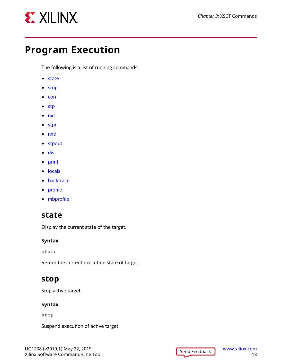<span id="page-17-0"></span>

# **Program Execution**

The following is a list of running commands:

- state
- stop
- [con](#page-18-0)
- [stp](#page-19-0)
- [nxt](#page-19-0)
- [stpi](#page-19-0)
- [nxti](#page-20-0)
- [stpout](#page-20-0)
- [dis](#page-21-0)
- [print](#page-21-0)
- [locals](#page-23-0)
- [backtrace](#page-24-0)
- [profile](#page-25-0)
- [mbprofile](#page-26-0)

### **state**

Display the current state of the target.

#### **Syntax**

state

Return the current execution state of target.

### **stop**

Stop active target.

#### **Syntax**

stop

Suspend execution of active target.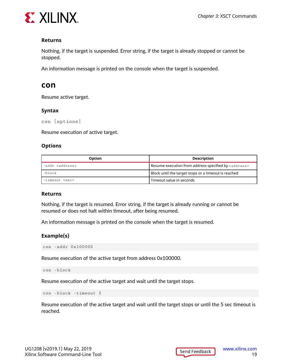<span id="page-18-0"></span>

#### **Returns**

Nothing, if the target is suspended. Error string, if the target is already stopped or cannot be stopped.

An information message is printed on the console when the target is suspended.

#### **con**

Resume active target.

#### **Syntax**

con [options]

Resume execution of active target.

#### **Options**

| <b>Option</b>             | <b>Description</b>                                             |
|---------------------------|----------------------------------------------------------------|
| -addr <address></address> | Resume execution from address specified by <address></address> |
| -block                    | Block until the target stops or a timeout is reached           |
| -timeout <sec></sec>      | i Timeout value in seconds                                     |

#### **Returns**

Nothing, if the target is resumed. Error string, if the target is already running or cannot be resumed or does not halt within timeout, after being resumed.

An information message is printed on the console when the target is resumed.

#### **Example(s)**

con -addr 0x100000

Resume execution of the active target from address 0x100000.

con -block

Resume execution of the active target and wait until the target stops.

con -block -timeout 5

Resume execution of the active target and wait until the target stops or until the 5 sec timeout is reached.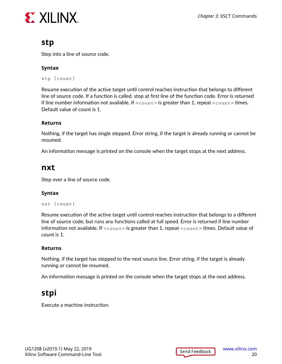<span id="page-19-0"></span>

### **stp**

Step into a line of source code.

#### **Syntax**

stp [count]

Resume execution of the active target until control reaches instruction that belongs to different line of source code. If a function is called, stop at first line of the function code. Error is returned if line number information not available. If  $\leq$ count  $>$  is greater than 1, repeat  $\leq$ count  $>$  times. Default value of count is 1.

#### **Returns**

Nothing, if the target has single stepped. Error string, if the target is already running or cannot be resumed.

An information message is printed on the console when the target stops at the next address.

#### **nxt**

Step over a line of source code.

#### **Syntax**

```
nxt [count]
```
Resume execution of the active target until control reaches instruction that belongs to a different line of source code, but runs any functions called at full speed. Error is returned if line number information not available. If  $\langle$ count> is greater than 1, repeat  $\langle$ count> times. Default value of count is 1.

#### **Returns**

Nothing, if the target has stepped to the next source line. Error string, if the target is already running or cannot be resumed.

An information message is printed on the console when the target stops at the next address.

### **stpi**

Execute a machine instruction.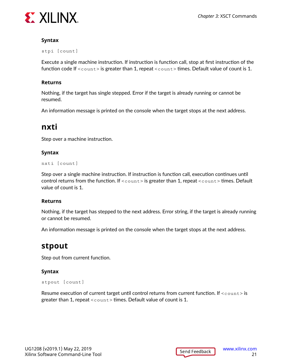<span id="page-20-0"></span>

#### **Syntax**

```
stpi [count]
```
Execute a single machine instruction. If instruction is function call, stop at first instruction of the function code If  $\leq$ count $\geq$  is greater than 1, repeat  $\leq$ count $\geq$  times. Default value of count is 1.

#### **Returns**

Nothing, if the target has single stepped. Error if the target is already running or cannot be resumed.

An information message is printed on the console when the target stops at the next address.

### **nxti**

Step over a machine instruction.

#### **Syntax**

```
nxti [count]
```
Step over a single machine instruction. If instruction is function call, execution continues until control returns from the function. If  $\langle$  count  $\rangle$  is greater than 1, repeat  $\langle$  count  $\rangle$  times. Default value of count is 1.

#### **Returns**

Nothing, if the target has stepped to the next address. Error string, if the target is already running or cannot be resumed.

An information message is printed on the console when the target stops at the next address.

### **stpout**

Step out from current function.

#### **Syntax**

```
stpout [count]
```
Resume execution of current target until control returns from current function. If  $\epsilon$ count  $>$  is greater than 1, repeat  $\langle$  count  $>$  times. Default value of count is 1.

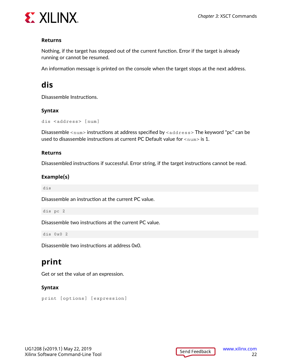<span id="page-21-0"></span>

#### **Returns**

Nothing, if the target has stepped out of the current function. Error if the target is already running or cannot be resumed.

An information message is printed on the console when the target stops at the next address.

## **dis**

Disassemble Instructions.

#### **Syntax**

```
dis <address> [num]
```
Disassemble  $<$ num> instructions at address specified by  $<$ address> The keyword "pc" can be used to disassemble instructions at current PC Default value for  $<$ num> is 1.

#### **Returns**

Disassembled instructions if successful. Error string, if the target instructions cannot be read.

#### **Example(s)**

dis

Disassemble an instruction at the current PC value.

dis pc 2

Disassemble two instructions at the current PC value.

dis  $0 \times 0$  2

Disassemble two instructions at address 0x0.

# **print**

Get or set the value of an expression.

#### **Syntax**

```
print [options] [expression]
```
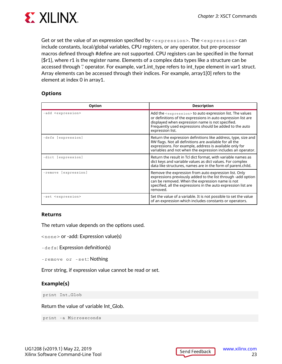

Get or set the value of an expression specified by <expression>. The <expression> can include constants, local/global variables, CPU registers, or any operator, but pre-processor macros defined through #define are not supported. CPU registers can be specified in the format {\$r1}, where r1 is the register name. Elements of a complex data types like a structure can be accessed through " operator. For example, var1.int\_type refers to int\_type element in var1 struct. Array elements can be accessed through their indices. For example, array1[0] refers to the element at index 0 in array1.

#### **Options**

| <b>Option</b>                  | <b>Description</b>                                                                                                                                                                                                                                                            |
|--------------------------------|-------------------------------------------------------------------------------------------------------------------------------------------------------------------------------------------------------------------------------------------------------------------------------|
| -add <expression></expression> | Add the <expression> to auto expression list. The values<br/>or definitions of the expressions in auto expression list are<br/>displayed when expression name is not specified.<br/>Frequently used expressions should be added to the auto<br/>expression list.</expression> |
| [expression]<br>-defs          | Return the expression definitions like address, type, size and<br>RW flags. Not all definitions are available for all the<br>expressions. For example, address is available only for<br>variables and not when the expression includes an operator.                           |
| -dict [expression]             | Return the result in Tcl dict format, with variable names as<br>dict keys and variable values as dict values. For complex<br>data like structures, names are in the form of parent.child.                                                                                     |
| -remove [expression]           | Remove the expression from auto expression list. Only<br>expressions previously added to the list through -add option<br>can be removed. When the expression name is not<br>specified, all the expressions in the auto expression list are<br>removed.                        |
| -set <expression></expression> | Set the value of a variable. It is not possible to set the value<br>of an expression which includes constants or operators.                                                                                                                                                   |

#### **Returns**

The return value depends on the options used.

```
\leqnone> or -add: Expression value(s)
```

```
-defs: Expression definition(s)
```

```
-remove or -set: Nothing
```
Error string, if expression value cannot be read or set.

#### **Example(s)**

print Int\_Glob

Return the value of variable Int\_Glob.

```
print -a Microseconds
```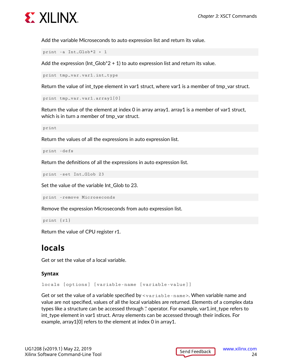<span id="page-23-0"></span>

Add the variable Microseconds to auto expression list and return its value.

print -a Int\_Glob\*2 + 1

Add the expression (Int  $Glob^2 + 1$ ) to auto expression list and return its value.

print tmp\_var.var1.int\_type

Return the value of int\_type element in var1 struct, where var1 is a member of tmp\_var struct.

print tmp\_var.var1.array1[0]

Return the value of the element at index 0 in array array1. array1 is a member of var1 struct, which is in turn a member of tmp var struct.

print

Return the values of all the expressions in auto expression list.

print -defs

Return the definitions of all the expressions in auto expression list.

print -set Int\_Glob 23

Set the value of the variable Int Glob to 23.

print -remove Microseconds

Remove the expression Microseconds from auto expression list.

print {r1}

Return the value of CPU register r1.

## **locals**

Get or set the value of a local variable.

#### **Syntax**

locals [options] [variable-name [variable-value]]

Get or set the value of a variable specified by  $\lt$ variable-name>. When variable name and value are not specified, values of all the local variables are returned. Elements of a complex data types like a structure can be accessed through " operator. For example, var1.int type refers to int\_type element in var1 struct. Array elements can be accessed through their indices. For example, array1[0] refers to the element at index 0 in array1.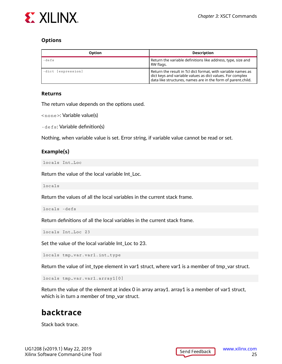<span id="page-24-0"></span>

#### **Options**

| <b>Option</b>      | <b>Description</b>                                                                                                                                                                        |
|--------------------|-------------------------------------------------------------------------------------------------------------------------------------------------------------------------------------------|
| $-defs$            | Return the variable definitions like address, type, size and<br>RW flags.                                                                                                                 |
| -dict [expression] | Return the result in Tcl dict format, with variable names as<br>dict keys and variable values as dict values. For complex<br>data like structures, names are in the form of parent.child. |

#### **Returns**

The return value depends on the options used.

<none>: Variable value(s)

-defs: Variable definition(s)

Nothing, when variable value is set. Error string, if variable value cannot be read or set.

#### **Example(s)**

locals Int\_Loc

Return the value of the local variable Int\_Loc.

locals

Return the values of all the local variables in the current stack frame.

```
locals -defs
```
Return definitions of all the local variables in the current stack frame.

```
locals Int_Loc 23
```
Set the value of the local variable Int Loc to 23.

locals tmp\_var.var1.int\_type

Return the value of int\_type element in var1 struct, where var1 is a member of tmp\_var struct.

locals tmp\_var.var1.array1[0]

Return the value of the element at index 0 in array array1. array1 is a member of var1 struct, which is in turn a member of tmp\_var struct.

## **backtrace**

Stack back trace.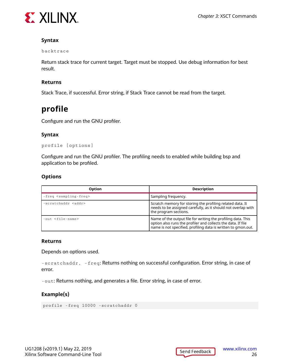<span id="page-25-0"></span>

#### **Syntax**

backtrace

Return stack trace for current target. Target must be stopped. Use debug information for best result.

#### **Returns**

Stack Trace, if successful. Error string, if Stack Trace cannot be read from the target.

## **profile**

Configure and run the GNU profiler.

#### **Syntax**

```
profile [options]
```
Configure and run the GNU profiler. The profiling needs to enabled while building bsp and application to be profiled.

#### **Options**

| <b>Option</b>                         | <b>Description</b>                                                                                                                                                                            |
|---------------------------------------|-----------------------------------------------------------------------------------------------------------------------------------------------------------------------------------------------|
| -freq <sampling-freq></sampling-freq> | Sampling frequency.                                                                                                                                                                           |
| -scratchaddr <addr></addr>            | Scratch memory for storing the profiling related data. It<br>needs to be assigned carefully, as it should not overlap with<br>the program sections.                                           |
| $-out < filter - name >$              | Name of the output file for writing the profiling data. This<br>option also runs the profiler and collects the data. If file<br>name is not specified, profiling data is written to gmon.out. |

#### **Returns**

Depends on options used.

-scratchaddr, -freq: Returns nothing on successful configuration. Error string, in case of error.

-out: Returns nothing, and generates a file. Error string, in case of error.

#### **Example(s)**

```
profile -freq 10000 -scratchaddr 0
```
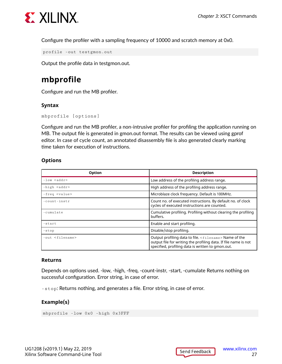<span id="page-26-0"></span>

Configure the profiler with a sampling frequency of 10000 and scratch memory at 0x0.

profile -out testgmon.out

Output the profile data in testgmon.out.

# **mbprofile**

Configure and run the MB profiler.

#### **Syntax**

```
mbprofile [options]
```
Configure and run the MB profiler, a non-intrusive profiler for profiling the application running on MB. The output file is generated in gmon.out format. The results can be viewed using gprof editor. In case of cycle count, an annotated disassembly file is also generated clearly marking time taken for execution of instructions.

#### **Options**

| <b>Option</b>              | <b>Description</b>                                                                                                                                                                         |
|----------------------------|--------------------------------------------------------------------------------------------------------------------------------------------------------------------------------------------|
| $-low < addr > 1$          | Low address of the profiling address range.                                                                                                                                                |
| $-high $                   | High address of the profiling address range.                                                                                                                                               |
| -freq <value></value>      | Microblaze clock frequency. Default is 100MHz.                                                                                                                                             |
| $-$ count-instr            | Count no. of executed instructions. By default no. of clock<br>cycles of executed instructions are counted.                                                                                |
| $-cumulate$                | Cumulative profiling. Profiling without clearing the profiling<br>buffers.                                                                                                                 |
| -start                     | Enable and start profiling.                                                                                                                                                                |
| $-s$ top                   | Disable/stop profiling.                                                                                                                                                                    |
| -out <filename></filename> | Output profiling data to file. <filename> Name of the<br/>output file for writing the profiling data. If file name is not<br/>specified, profiling data is written to gmon.out.</filename> |

#### **Returns**

Depends on options used. -low, -high, -freq, -count-instr, -start, -cumulate Returns nothing on successful configuration. Error string, in case of error.

-stop: Returns nothing, and generates a file. Error string, in case of error.

#### **Example(s)**

mbprofile -low 0x0 -high 0x3FFF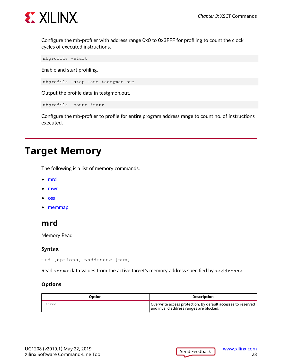<span id="page-27-0"></span>

Configure the mb-profiler with address range 0x0 to 0x3FFF for profiling to count the clock cycles of executed instructions.

```
mbprofile -start
```
Enable and start profiling.

mbprofile -stop -out testgmon.out

Output the profile data in testgmon.out.

```
mbprofile -count-instr
```
Configure the mb-profiler to profile for entire program address range to count no. of instructions executed.

# **Target Memory**

The following is a list of memory commands:

- mrd
- [mwr](#page-29-0)
- [osa](#page-31-0)
- [memmap](#page-32-0)

### **mrd**

Memory Read

#### **Syntax**

```
mrd [options] <address> [num]
```
Read  $\langle$  num> data values from the active target's memory address specified by  $\langle$  address>.

#### **Options**

| Option | <b>Description</b>                                                                                      |
|--------|---------------------------------------------------------------------------------------------------------|
| -force | Overwrite access protection. By default accesses to reserved<br>and invalid address ranges are blocked. |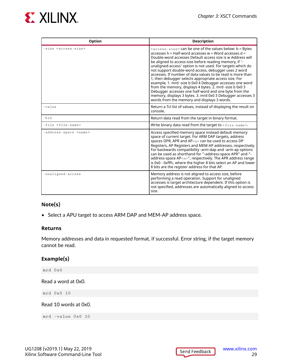

| <b>Option</b>                     | <b>Description</b>                                                                                                                                                                                                                                                                                                                                                                                                                                                                                                                                                                                                                                                                                                                                                                             |
|-----------------------------------|------------------------------------------------------------------------------------------------------------------------------------------------------------------------------------------------------------------------------------------------------------------------------------------------------------------------------------------------------------------------------------------------------------------------------------------------------------------------------------------------------------------------------------------------------------------------------------------------------------------------------------------------------------------------------------------------------------------------------------------------------------------------------------------------|
| -size <access-size></access-size> | $\leq$ access-size> can be one of the values below: b = Bytes<br>accesses $h = H$ alf-word accesses $w = W$ ord accesses d =<br>Double-word accesses Default access size is w Address will<br>be aligned to access-size before reading memory, if '-<br>unaligned-access' option is not used. For targets which do<br>not support double-word access, debugger uses 2 word<br>accesses. If number of data values to be read is more than<br>1, then debugger selects appropriate access size. For<br>example, 1. mrd -size b 0x0 4 Debugger accesses one word<br>from the memory, displays 4 bytes. 2. mrd -size b 0x0 3<br>Debugger accesses one half-word and one byte from the<br>memory, displays 3 bytes. 3. mrd 0x0 3 Debugger accesses 3<br>words from the memory and displays 3 words. |
| $-va1ue$                          | Return a Tcl list of values, instead of displaying the result on<br>console.                                                                                                                                                                                                                                                                                                                                                                                                                                                                                                                                                                                                                                                                                                                   |
| -bin                              | Return data read from the target in binary format.                                                                                                                                                                                                                                                                                                                                                                                                                                                                                                                                                                                                                                                                                                                                             |
| $-file < file - name >$           | Write binary data read from the target to $\le$ file-name>.                                                                                                                                                                                                                                                                                                                                                                                                                                                                                                                                                                                                                                                                                                                                    |
| -address-space <name></name>      | Access specified memory space instead default memory<br>space of current target. For ARM DAP targets, address<br>spaces DPR, APR and AP <n> can be used to access DP<br/>Registers, AP Registers and MEM-AP addresses, respectively.<br/>For backwards compatibility -arm-dap and -arm-ap options<br/>can be used as shorthand for "-address-space APR" and "-<br/>address-space <math>AP &lt; n &gt; "</math>, respectively. The APR address range<br/>is 0x0 - 0xfffc, where the higher 8 bits select an AP and lower<br/>8 bits are the register address for that AP.</n>                                                                                                                                                                                                                   |
| -unaligned-access                 | Memory address is not aligned to access size, before<br>performing a read operation. Support for unaligned<br>accesses is target architecture dependent. If this option is<br>not specified, addresses are automatically aligned to access<br>size.                                                                                                                                                                                                                                                                                                                                                                                                                                                                                                                                            |

#### **Note(s)**

• Select a APU target to access ARM DAP and MEM-AP address space.

#### **Returns**

Memory addresses and data in requested format, if successful. Error string, if the target memory cannot be read.

#### **Example(s)**

mrd 0x0

Read a word at 0x0.

mrd 0x0 10

Read 10 words at 0x0.

mrd -value 0x0 10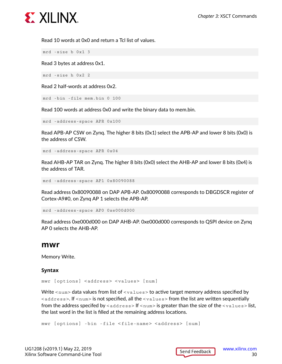<span id="page-29-0"></span>

Read 10 words at 0x0 and return a Tcl list of values.

mrd -size b 0x1 3

Read 3 bytes at address 0x1.

mrd -size h 0x2 2

Read 2 half-words at address 0x2.

mrd -bin -file mem.bin 0 100

Read 100 words at address 0x0 and write the binary data to mem.bin.

mrd -address-space APR 0x100

Read APB-AP CSW on Zynq. The higher 8 bits (0x1) select the APB-AP and lower 8 bits (0x0) is the address of CSW.

mrd -address-space APR 0x04

Read AHB-AP TAR on Zynq. The higher 8 bits (0x0) select the AHB-AP and lower 8 bits (0x4) is the address of TAR.

mrd -address-space AP1 0x80090088

Read address 0x80090088 on DAP APB-AP. 0x80090088 corresponds to DBGDSCR register of Cortex-A9#0, on Zynq AP 1 selects the APB-AP.

mrd -address-space AP0 0xe000d000

Read address 0xe000d000 on DAP AHB-AP. 0xe000d000 corresponds to QSPI device on Zynq AP 0 selects the AHB-AP.

#### **mwr**

Memory Write.

#### **Syntax**

mwr [options] <address> <values> [num]

Write  $\langle$  num> data values from list of  $\langle$   $\langle$   $\langle$   $\rangle$  all  $\langle$  as to active target memory address specified by  $\leq$  address>. If  $\leq$  num> is not specified, all the  $\leq$  values> from the list are written sequentially from the address specifed by  $\lt$  address  $>$  If  $\lt$  num $\gt$  is greater than the size of the  $\lt$  values  $\gt$  list, the last word in the list is filled at the remaining address locations.

mwr [options] -bin -file <file-name> <address> [num]

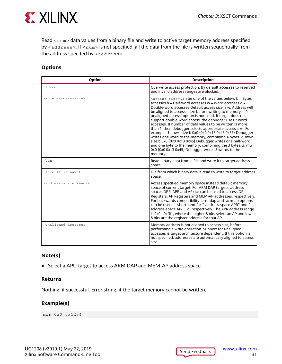

Read  $<$ num> data values from a binary file and write to active target memory address specified by <address>. If <num> is not specified, all the data from the file is written sequentially from the address specifed by  $<$  address>.

#### **Options**

| <b>Option</b>                     | <b>Description</b>                                                                                                                                                                                                                                                                                                                                                                                                                                                                                                                                                                                                                                                                                                                                                                                                                     |
|-----------------------------------|----------------------------------------------------------------------------------------------------------------------------------------------------------------------------------------------------------------------------------------------------------------------------------------------------------------------------------------------------------------------------------------------------------------------------------------------------------------------------------------------------------------------------------------------------------------------------------------------------------------------------------------------------------------------------------------------------------------------------------------------------------------------------------------------------------------------------------------|
| $-force$                          | Overwrite access protection. By default accesses to reserved<br>and invalid address ranges are blocked.                                                                                                                                                                                                                                                                                                                                                                                                                                                                                                                                                                                                                                                                                                                                |
| -size <access-size></access-size> | $\leq$ access-size> can be one of the values below: b = Bytes<br>accesses $h = Half-word$ accesses $w = Word$ accesses $d =$<br>Double-word accesses Default access size is w. Address will<br>be aligned to accesss-size before writing to memory, if '-<br>unaligned-access' option is not used. If target does not<br>support double-word access, the debugger uses 2 word<br>accesses. If number of data values to be written is more<br>than 1, then debugger selects appropriate access size. For<br>example, 1. mwr -size b $0x0$ $0x0$ $0x13$ $0x45$ $0x56$ } Debugger<br>writes one word to the memory, combining 4 bytes. 2. mwr -<br>size b 0x0 {0x0 0x13 0x45} Debugger writes one half-word<br>and one byte to the memory, combining the 3 bytes. 3. mwr<br>0x0 {0x0 0x13 0x45} Debugger writes 3 words to the<br>memory. |
| -bin                              | Read binary data from a file and write it to target address<br>space.                                                                                                                                                                                                                                                                                                                                                                                                                                                                                                                                                                                                                                                                                                                                                                  |
| $-file < file - name >$           | File from which binary data is read to write to target address<br>space.                                                                                                                                                                                                                                                                                                                                                                                                                                                                                                                                                                                                                                                                                                                                                               |
| -address-space <name></name>      | Access specified memory space instead default memory<br>space of current target. For ARM DAP targets, address<br>spaces DPR, APR and $AP < n >$ can be used to access DP<br>Registers, AP Registers and MEM-AP addresses, respectively.<br>For backwards compatibility -arm-dap and -arm-ap options<br>can be used as shorthand for "-address-space APR" and "-<br>address-space $AP < n > "$ , respectively. The APR address range<br>is 0x0 - 0xfffc, where the higher 8 bits select an AP and lower<br>8 bits are the register address for that AP.                                                                                                                                                                                                                                                                                 |
| -unaligned-accesses               | Memory address is not aligned to access size, before<br>performing a write operation. Support for unaligned<br>accesses is target architecture dependent. If this option is<br>not specified, addresses are automatically aligned to access<br>size.                                                                                                                                                                                                                                                                                                                                                                                                                                                                                                                                                                                   |

#### **Note(s)**

• Select a APU target to access ARM DAP and MEM-AP address space.

#### **Returns**

Nothing, if successful. Error string, if the target memory cannot be written.

#### **Example(s)**

mwr 0x0 0x1234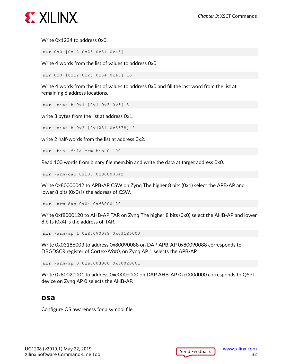<span id="page-31-0"></span>

Write 0x1234 to address 0x0.

mwr 0x0 {0x12 0x23 0x34 0x45}

Write 4 words from the list of values to address 0x0.

mwr 0x0 {0x12 0x23 0x34 0x45} 10

Write 4 words from the list of values to address 0x0 and fill the last word from the list at remaining 6 address locations.

mwr -size b 0x1 {0x1 0x2 0x3} 3

write 3 bytes from the list at address 0x1.

mwr -size h 0x2 {0x1234 0x5678} 2

write 2 half-words from the list at address 0x2.

mwr -bin -file mem.bin 0 100

Read 100 words from binary file mem.bin and write the data at target address 0x0.

mwr -arm-dap 0x100 0x80000042

Write 0x80000042 to APB-AP CSW on Zynq The higher 8 bits (0x1) select the APB-AP and lower 8 bits (0x0) is the address of CSW.

mwr -arm-dap 0x04 0xf8000120

Write 0xf8000120 to AHB-AP TAR on Zynq The higher 8 bits (0x0) select the AHB-AP and lower 8 bits (0x4) is the address of TAR.

mwr -arm-ap 1 0x80090088 0x03186003

Write 0x03186003 to address 0x80090088 on DAP APB-AP 0x80090088 corresponds to DBGDSCR register of Cortex-A9#0, on Zynq AP 1 selects the APB-AP.

mwr -arm-ap 0 0xe000d000 0x80020001

Write 0x80020001 to address 0xe000d000 on DAP AHB-AP 0xe000d000 corresponds to QSPI device on Zynq AP 0 selects the AHB-AP.

#### **osa**

Configure OS awareness for a symbol file.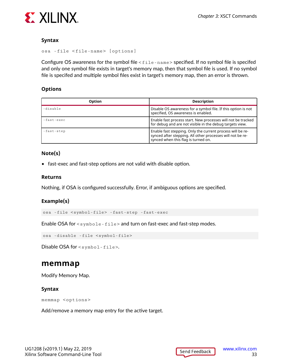<span id="page-32-0"></span>

#### **Syntax**

```
osa -file <file-name> [options]
```
Configure OS awareness for the symbol file  $\leq$  file-name > specified. If no symbol file is specifed and only one symbol file exists in target's memory map, then that symbol file is used. If no symbol file is specifed and multiple symbol files exist in target's memory map, then an error is thrown.

#### **Options**

| <b>Option</b> | <b>Description</b>                                                                                                                                              |
|---------------|-----------------------------------------------------------------------------------------------------------------------------------------------------------------|
| -disable      | Disable OS awareness for a symbol file. If this option is not<br>specified, OS awareness is enabled.                                                            |
| -fast-exec    | Enable fast process start. New processes will not be tracked<br>for debug and are not visible in the debug targets view.                                        |
| -fast-step    | Enable fast stepping. Only the current process will be re-<br>synced after stepping. All other processes will not be re-<br>synced when this flag is turned on. |

#### **Note(s)**

• fast-exec and fast-step options are not valid with disable option.

#### **Returns**

Nothing, if OSA is configured successfully. Error, if ambiguous options are specified.

#### **Example(s)**

osa -file <symbol-file> -fast-step -fast-exec

Enable OSA for  $\langle$ symbole-file> and turn on fast-exec and fast-step modes.

osa -disable -file <symbol-file>

Disable OSA for <symbol-file>.

### **memmap**

Modify Memory Map.

#### **Syntax**

memmap <options>

Add/remove a memory map entry for the active target.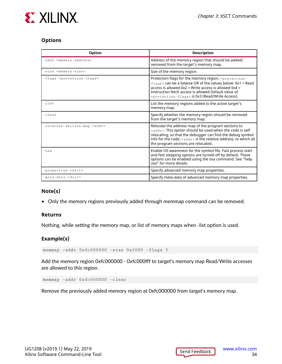

#### **Options**

| <b>Option</b>                                | <b>Description</b>                                                                                                                                                                                                                                                                                        |
|----------------------------------------------|-----------------------------------------------------------------------------------------------------------------------------------------------------------------------------------------------------------------------------------------------------------------------------------------------------------|
| -addr <memory-address></memory-address>      | Address of the memory region that should be added/<br>removed from the target's memory map.                                                                                                                                                                                                               |
| -size <memory-size></memory-size>            | Size of the memory region.                                                                                                                                                                                                                                                                                |
| -flags <protection-flags></protection-flags> | Protection flags for the memory region. <protection-<br><math>f_{\text{lags}}</math> can be a bitwise OR of the values below: 0x1 = Read<br/>access is allowed <math>0x2</math> = Write access is allowed <math>0x4</math> =<br/>Instruction fetch access is allowed Default value of</protection-<br>    |
| $-1$ ist                                     | List the memory regions added to the active target's<br>memory map.                                                                                                                                                                                                                                       |
| -clear                                       | Specify whether the memory region should be removed<br>from the target's memory map.                                                                                                                                                                                                                      |
| -relocate-section-map <addr></addr>          | Relocate the address map of the program sections to<br><addr>. This option should be used when the code is self-<br/>relocating, so that the debugger can find the debug symbol<br/>info for the code. <addr> is the relative address, to which all<br/>the program sections are relocated.</addr></addr> |
| $-0.5a$                                      | Enable OS awareness for the symbol file. Fast process start<br>and fast stepping options are turned off by default. These<br>options can be enabled using the osa command. See "help<br>osa" for more details.                                                                                            |
| -properties <dict></dict>                    | Specify advanced memory map properties.                                                                                                                                                                                                                                                                   |
| $-meta-data$ $\langle$ dict>                 | Specify meta-data of advanced memory map properties.                                                                                                                                                                                                                                                      |

#### **Note(s)**

• Only the memory regions previously added through memmap command can be removed.

#### **Returns**

Nothing, while setting the memory map, or list of memory maps when -list option is used.

#### **Example(s)**

memmap -addr 0xfc000000 -size 0x1000 -flags 3

Add the memory region 0xfc000000 - 0xfc000fff to target's memory map Read/Write accesses are allowed to this region.

memmap -addr 0xfc000000 -clear

Remove the previously added memory region at 0xfc000000 from target's memory map.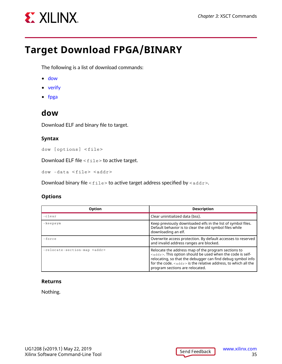<span id="page-34-0"></span>

# **Target Download FPGA/BINARY**

The following is a list of download commands:

- dow
- [verify](#page-35-0)
- [fpga](#page-35-0)

### **dow**

Download ELF and binary file to target.

#### **Syntax**

```
dow [options] <file>
```
Download ELF file  $\leq$  files to active target.

dow -data <file> <addr>

Download binary file < $file$ >to active target address specified by <addr>.

#### **Options**

| <b>Option</b>                       | <b>Description</b>                                                                                                                                                                                                                                                                                    |
|-------------------------------------|-------------------------------------------------------------------------------------------------------------------------------------------------------------------------------------------------------------------------------------------------------------------------------------------------------|
| $-c$ lear                           | Clear uninitialized data (bss).                                                                                                                                                                                                                                                                       |
| -keepsym                            | Keep previously downloaded elfs in the list of symbol files.<br>Default behavior is to clear the old symbol files while<br>downloading an elf.                                                                                                                                                        |
| -force                              | Overwrite access protection. By default accesses to reserved<br>and invalid address ranges are blocked.                                                                                                                                                                                               |
| -relocate-section-map <addr></addr> | Relocate the address map of the program sections to<br><addr>. This option should be used when the code is self-<br/>relocating, so that the debugger can find debug symbol info<br/>for the code. <addr> is the relative address, to which all the<br/>program sections are relocated.</addr></addr> |

#### **Returns**

Nothing.

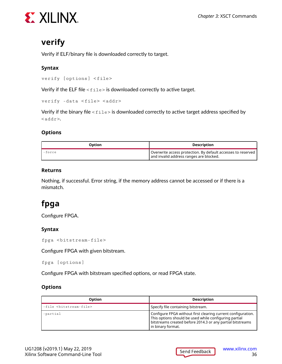<span id="page-35-0"></span>

## **verify**

Verify if ELF/binary file is downloaded correctly to target.

#### **Syntax**

```
verify [options] <file>
```
Verify if the ELF file  $\leq$  file  $\geq$  is downloaded correctly to active target.

verify -data <file> <addr>

Verify if the binary file  $\leq$  file  $>$  is downloaded correctly to active target address specified by  $<$ addr $>$ .

#### **Options**

| Option | <b>Description</b>                                                                                        |
|--------|-----------------------------------------------------------------------------------------------------------|
| -force | Overwrite access protection. By default accesses to reserved  <br>and invalid address ranges are blocked. |

#### **Returns**

Nothing, if successful. Error string, if the memory address cannot be accessed or if there is a mismatch.

# **fpga**

Configure FPGA.

#### **Syntax**

```
fpga <bitstream-file>
```
Configure FPGA with given bitstream.

fpga [options]

Configure FPGA with bitstream specified options, or read FPGA state.

#### **Options**

| <b>Option</b>                           | <b>Description</b>                                                                                                                                                                                       |
|-----------------------------------------|----------------------------------------------------------------------------------------------------------------------------------------------------------------------------------------------------------|
| -file <bitstream-file></bitstream-file> | Specify file containing bitstream.                                                                                                                                                                       |
| -partial                                | Configure FPGA without first clearing current configuration.<br>This options should be used while configuring partial<br>bitstreams created before 2014.3 or any partial bitstreams<br>in binary format. |

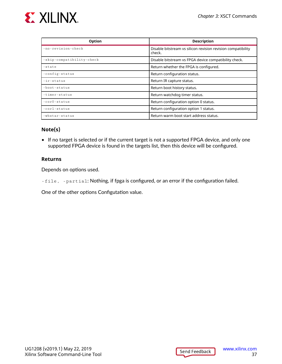

| <b>Option</b>             | <b>Description</b>                                                     |
|---------------------------|------------------------------------------------------------------------|
| -no-revision-check        | Disable bitstream vs silicon revision revision compatibility<br>check. |
| -skip-compatibility-check | Disable bitstream vs FPGA device compatibility check.                  |
| -state                    | Return whether the FPGA is configured.                                 |
| -config-status            | Return configuration status.                                           |
| $-ir - status$            | Return IR capture status.                                              |
| $-h$ oot-status           | Return boot history status.                                            |
| $-$ timer $-$ status      | Return watchdog timer status.                                          |
| $-corr0 - status$         | Return configuration option 0 status.                                  |
| $-cor1 - status$          | Return configuration option 1 status.                                  |
| -wbstar-status            | Return warm boot start address status.                                 |

## **Note(s)**

• If no target is selected or if the current target is not a supported FPGA device, and only one supported FPGA device is found in the targets list, then this device will be configured.

#### **Returns**

Depends on options used.

-file, -partial: Nothing, if fpga is configured, or an error if the configuration failed.

One of the other options Configutation value.

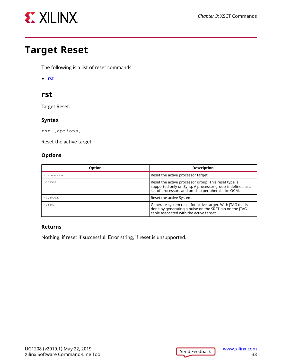

# **Target Reset**

The following is a list of reset commands:

• rst

## **rst**

Target Reset.

### **Syntax**

rst [options]

Reset the active target.

## **Options**

| Option     | <b>Description</b>                                                                                                                                                       |
|------------|--------------------------------------------------------------------------------------------------------------------------------------------------------------------------|
| -processor | Reset the active processor target.                                                                                                                                       |
| $-cores$   | Reset the active processor group. This reset type is<br>supported only on Zynq. A processor group is defined as a<br>set of processors and on-chip peripherals like OCM. |
| -system    | Reset the active System.                                                                                                                                                 |
| $-$ srst   | Generate system reset for active target. With JTAG this is<br>done by generating a pulse on the SRST pin on the JTAG<br>cable assocated with the active target.          |

#### **Returns**

Nothing, if reset if successful. Error string, if reset is unsupported.

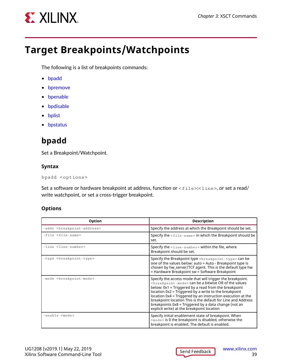

# **Target Breakpoints/Watchpoints**

The following is a list of breakpoints commands:

- bpadd
- [bpremove](#page-40-0)
- [bpenable](#page-41-0)
- [bpdisable](#page-41-0)
- [bplist](#page-43-0)
- [bpstatus](#page-43-0)

# **bpadd**

Set a Breakpoint/Watchpoint.

#### **Syntax**

```
bpadd <options>
```
Set a software or hardware breakpoint at address, function or <file>:<line>, or set a read/ write watchpoint, or set a cross-trigger breakpoint.

#### **Options**

| <b>Option</b>                                   | <b>Description</b>                                                                                                                                                                                                                                                                                                                                                                                                                                                                             |
|-------------------------------------------------|------------------------------------------------------------------------------------------------------------------------------------------------------------------------------------------------------------------------------------------------------------------------------------------------------------------------------------------------------------------------------------------------------------------------------------------------------------------------------------------------|
| -addr <breakpoint-address></breakpoint-address> | Specify the address at which the Breakpoint should be set.                                                                                                                                                                                                                                                                                                                                                                                                                                     |
| $-file < file - name >$                         | Specify the $\leq$ file-name $>$ in which the Breakpoint should be<br>set.                                                                                                                                                                                                                                                                                                                                                                                                                     |
| -line <line-number></line-number>               | Specify the $\leq$ line-number > within the file, where<br>Breakpoint should be set.                                                                                                                                                                                                                                                                                                                                                                                                           |
| -type <breakpoint-type></breakpoint-type>       | Specify the Breakpoint type <breakpoint-type> can be<br/>one of the values below: auto = Auto - Breakpoint type is<br/>chosen by hw_server/TCF agent. This is the default type hw<br/>= Hardware Breakpoint sw = Software Breakpoint</breakpoint-type>                                                                                                                                                                                                                                         |
| -mode <breakpoint-mode></breakpoint-mode>       | Specify the access mode that will trigger the breakpoint.<br><breakpoint-mode> can be a bitwise OR of the values<br/>below: 0x1 = Triggered by a read from the breakpoint<br/>location 0x2 = Triggered by a write to the breakpoint<br/>location 0x4 = Triggered by an instruction execution at the<br/>breakpoint location This is the default for Line and Address<br/>breakpoints 0x8 = Triggered by a data change (not an<br/>explicit write) at the breakpoint location</breakpoint-mode> |
| -enable <mode></mode>                           | Specify initial enablement state of breakpoint. When<br><mode> is 0 the breakpoint is disabled, otherwise the<br/>breakpoint is enabled. The default is enabled.</mode>                                                                                                                                                                                                                                                                                                                        |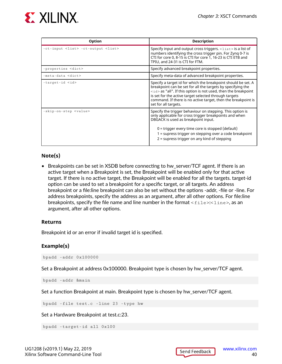

| <b>Option</b>                                    | <b>Description</b>                                                                                                                                                                                                                                                                                                                                                      |
|--------------------------------------------------|-------------------------------------------------------------------------------------------------------------------------------------------------------------------------------------------------------------------------------------------------------------------------------------------------------------------------------------------------------------------------|
| -ct-input <list> -ct-output <list></list></list> | Specify input and output cross triggers. $\langle$ 1ist> is a list of<br>numbers identifying the cross trigger pin. For Zyng 0-7 is<br>CTI for core 0, 8-15 is CTI for core 1, 16-23 is CTI ETB and<br>TPIU, and 24-31 is CTI for FTM.                                                                                                                                  |
| -properties <dict></dict>                        | Specify advanced breakpoint properties.                                                                                                                                                                                                                                                                                                                                 |
| -meta-data <dict></dict>                         | Specify meta-data of advanced breakpoint properties.                                                                                                                                                                                                                                                                                                                    |
| $-target-id < id$                                | Specify a target id for which the breakpoint should be set. A<br>breakpoint can be set for all the targets by specifying the<br>$\langle \text{1d} \rangle$ as "all". If this option is not used, then the breakpoint<br>is set for the active target selected through targets<br>command. If there is no active target, then the breakpoint is<br>set for all targets. |
| -skip-on-step <value></value>                    | Specify the trigger behaviour on stepping. This option is<br>only applicable for cross trigger breakpoints and when<br>DBGACK is used as breakpoint input.<br>$0 =$ trigger every time core is stopped (default)<br>1 = supress trigger on stepping over a code breakpoint<br>$2$ = supress trigger on any kind of stepping                                             |

### **Note(s)**

• Breakpoints can be set in XSDB before connecting to hw\_server/TCF agent. If there is an active target when a Breakpoint is set, the Breakpoint will be enabled only for that active target. If there is no active target, the Breakpoint will be enabled for all the targets. target-id option can be used to set a breakpoint for a specific target, or all targets. An address breakpoint or a file:line breakpoint can also be set without the options -addr, -file or -line. For address breakpoints, specify the address as an argument, after all other options. For file:line breakpoints, specify the file name and line number in the format  $\leq$  file  $\geq$ : $\leq$  line $\geq$ , as an argument, after all other options.

#### **Returns**

Breakpoint id or an error if invalid target id is specified.

#### **Example(s)**

bpadd -addr 0x100000

Set a Breakpoint at address 0x100000. Breakpoint type is chosen by hw\_server/TCF agent.

bpadd -addr &main

Set a function Breakpoint at main. Breakpoint type is chosen by hw\_server/TCF agent.

bpadd -file test.c -line 23 -type hw

Set a Hardware Breakpoint at test.c:23.

```
bpadd -target-id all 0x100
```
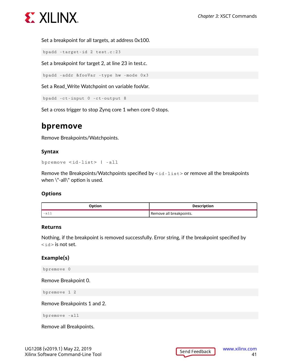<span id="page-40-0"></span>

Set a breakpoint for all targets, at address 0x100.

bpadd -target-id 2 test.c:23

Set a breakpoint for target 2, at line 23 in test.c.

bpadd -addr &fooVar -type hw -mode 0x3

Set a Read\_Write Watchpoint on variable fooVar.

bpadd -ct-input 0 -ct-output 8

Set a cross trigger to stop Zynq core 1 when core 0 stops.

## **bpremove**

Remove Breakpoints/Watchpoints.

#### **Syntax**

bpremove <id-list> | -all

Remove the Breakpoints/Watchpoints specified by  $\leq$  id-list> or remove all the breakpoints when \"-all\" option is used.

#### **Options**

| าption         | <b>Description</b>      |
|----------------|-------------------------|
| $-ax-$<br>---- | Remove all breakpoints. |

#### **Returns**

Nothing, if the breakpoint is removed successfully. Error string, if the breakpoint specified by  $\langle$ id> is not set.

#### **Example(s)**

bpremove 0

Remove Breakpoint 0.

bpremove 1 2

Remove Breakpoints 1 and 2.

bpremove -all

Remove all Breakpoints.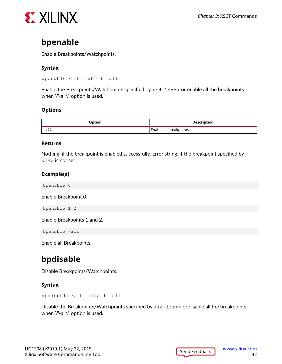<span id="page-41-0"></span>

## **bpenable**

Enable Breakpoints/Watchpoints.

## **Syntax**

bpenable <id-list> | -all

Enable the Breakpoints/Watchpoints specified by  $\leq$  id-list > or enable all the breakpoints when \"-all\" option is used.

### **Options**

| つption         | <b>Description</b>        |
|----------------|---------------------------|
| $-ax-$<br>---- | l Enable all breakpoints. |

#### **Returns**

Nothing, if the breakpoint is enabled successfully. Error string, if the breakpoint specified by <id> is not set.

## **Example(s)**

bpenable 0

Enable Breakpoint 0.

bpenable 1 2

Enable Breakpoints 1 and 2.

bpenable -all

Enable all Breakpoints.

# **bpdisable**

Disable Breakpoints/Watchpoints.

## **Syntax**

bpdisable <id-list> | -all

Disable the Breakpoints/Watchpoints specified by  $\leq$  id-list > or disable all the breakpoints when \"-all\" option is used.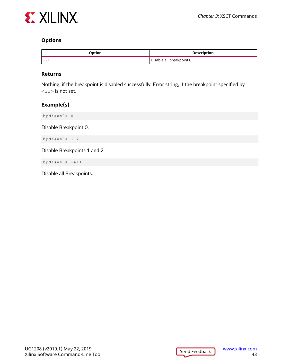

#### **Options**

| <b>)ption</b> | <b>Description</b>       |
|---------------|--------------------------|
| – a⊥⊥         | Disable all breakpoints. |

#### **Returns**

Nothing, if the breakpoint is disabled successfully. Error string, if the breakpoint specified by <id> is not set.

### **Example(s)**

bpdisable 0

Disable Breakpoint 0.

bpdisable 1 2

Disable Breakpoints 1 and 2.

bpdisable -all

Disable all Breakpoints.

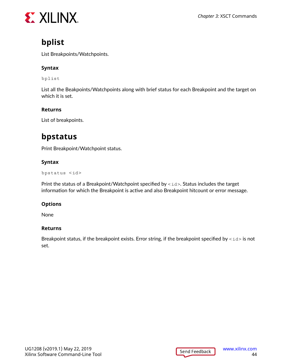<span id="page-43-0"></span>

## **bplist**

List Breakpoints/Watchpoints.

## **Syntax**

bplist

List all the Beakpoints/Watchpoints along with brief status for each Breakpoint and the target on which it is set.

## **Returns**

List of breakpoints.

# **bpstatus**

Print Breakpoint/Watchpoint status.

## **Syntax**

bpstatus <id>

Print the status of a Breakpoint/Watchpoint specified by  $\lt i d$ . Status includes the target information for which the Breakpoint is active and also Breakpoint hitcount or error message.

## **Options**

None

## **Returns**

Breakpoint status, if the breakpoint exists. Error string, if the breakpoint specified by  $\langle id \rangle$  is not set.

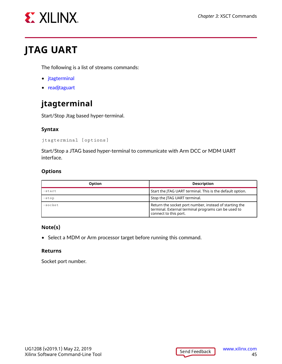

# **JTAG UART**

The following is a list of streams commands:

- jtagterminal
- [readjtaguart](#page-45-0)

# **jtagterminal**

Start/Stop Jtag based hyper-terminal.

## **Syntax**

jtagterminal [options]

Start/Stop a JTAG based hyper-terminal to communicate with Arm DCC or MDM UART interface.

## **Options**

| <b>Option</b> | <b>Description</b>                                                                                                                     |
|---------------|----------------------------------------------------------------------------------------------------------------------------------------|
| -start        | Start the JTAG UART terminal. This is the default option.                                                                              |
| $-s$ top      | Stop the JTAG UART terminal.                                                                                                           |
| $-socket$     | Return the socket port number, instead of starting the<br>terminal. External terminal programs can be used to<br>connect to this port. |

## **Note(s)**

• Select a MDM or Arm processor target before running this command.

#### **Returns**

Socket port number.

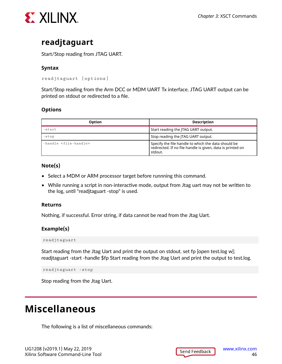<span id="page-45-0"></span>

## **readjtaguart**

Start/Stop reading from JTAG UART.

## **Syntax**

readjtaguart [options]

Start/Stop reading from the Arm DCC or MDM UART Tx interface. JTAG UART output can be printed on stdout or redirected to a file.

## **Options**

| <b>Option</b>             | <b>Description</b>                                                                                                           |
|---------------------------|------------------------------------------------------------------------------------------------------------------------------|
| -start                    | Start reading the JTAG UART output.                                                                                          |
| $-s$ top                  | Stop reading the JTAG UART output.                                                                                           |
| $-handle < file-handle >$ | Specify the file handle to which the data should be<br>redirected. If no file handle is given, data is printed on<br>stdout. |

### **Note(s)**

- Select a MDM or ARM processor target before runnning this command.
- While running a script in non-interactive mode, output from Jtag uart may not be written to the log, until "readjtaguart -stop" is used.

#### **Returns**

Nothing, if successful. Error string, if data cannot be read from the Jtag Uart.

## **Example(s)**

readjtaguart

Start reading from the Jtag Uart and print the output on stdout. set fp [open test.log w]; readjtaguart -start -handle \$fp Start reading from the Jtag Uart and print the output to test.log.

```
readjtaguart -stop
```
Stop reading from the Jtag Uart.

# **Miscellaneous**

The following is a list of miscellaneous commands:

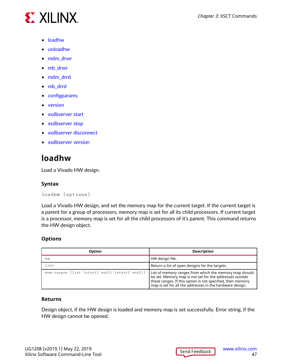

- loadhw
- [unloadhw](#page-47-0)
- [mdm\\_drwr](#page-47-0)
- [mb\\_drwr](#page-48-0)
- [mdm\\_drrd](#page-48-0)
- [mb\\_drrd](#page-49-0)
- [configparams](#page-49-0)
- [version](#page-50-0)
- [xsdbserver start](#page-51-0)
- [xsdbserver stop](#page-53-0)
- [xsdbserver disconnect](#page-53-0)
- [xsdbserver version](#page-53-0)

## **loadhw**

Load a Vivado HW design.

#### **Syntax**

```
loadhw [options]
```
Load a Vivado HW design, and set the memory map for the current target. If the current target is a parent for a group of processors, memory map is set for all its child processors. If current target is a processor, memory map is set for all the child processors of it's parent. This command returns the HW design object.

## **Options**

| Option                                         | <b>Description</b>                                                                                                                                                                                                                          |
|------------------------------------------------|---------------------------------------------------------------------------------------------------------------------------------------------------------------------------------------------------------------------------------------------|
| - hw                                           | HW design file.                                                                                                                                                                                                                             |
| $-1$ ist                                       | Return a list of open designs for the targets.                                                                                                                                                                                              |
| -mem-ranges [list {start1 end1} {start2 end2}] | List of memory ranges from which the memory map should<br>be set. Memory map is not set for the addresses outside<br>these ranges. If this option is not specified, then memory<br>map is set for all the addresses in the hardware design. |

#### **Returns**

Design object, if the HW design is loaded and memory map is set successfully. Error string, if the HW design cannot be opened.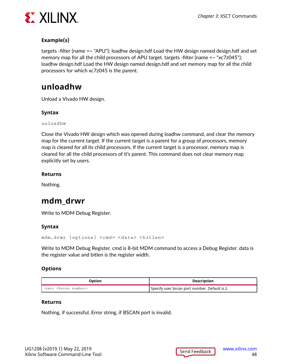<span id="page-47-0"></span>

## **Example(s)**

targets -filter {name =~ "APU"}; loadhw design.hdf Load the HW design named design.hdf and set memory map for all the child processors of APU target. targets -filter {name =~ "xc7z045"}; loadhw design.hdf Load the HW design named design.hdf and set memory map for all the child processors for which xc7z045 is the parent.

## **unloadhw**

Unload a Vivado HW design.

### **Syntax**

unloadhw

Close the Vivado HW design which was opened during loadhw command, and clear the memory map for the current target. If the current target is a parent for a group of processors, memory map is cleared for all its child processors. If the current target is a processor, memory map is cleared for all the child processors of it's parent. This command does not clear memory map explicitly set by users.

### **Returns**

Nothing.

# **mdm\_drwr**

Write to MDM Debug Register.

## **Syntax**

mdm\_drwr [options] <cmd> <data> <bitlen>

Write to MDM Debug Register. cmd is 8-bit MDM command to access a Debug Register. data is the register value and bitlen is the register width.

## **Options**

| วption                           | <b>Description</b>                            |
|----------------------------------|-----------------------------------------------|
| '-user <bscan number=""></bscan> | Specify user bscan port number. Default is 2. |

#### **Returns**

Nothing, if successful. Error string, if BSCAN port is invalid.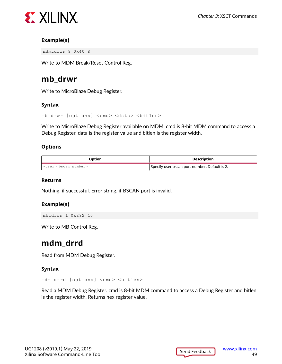<span id="page-48-0"></span>

## **Example(s)**

mdm\_drwr 8 0x40 8

Write to MDM Break/Reset Control Reg.

# **mb\_drwr**

Write to MicroBlaze Debug Register.

### **Syntax**

```
mb_drwr [options] <cmd> <data> <bitlen>
```
Write to MicroBlaze Debug Register available on MDM. cmd is 8-bit MDM command to access a Debug Register. data is the register value and bitlen is the register width.

## **Options**

| Option                           | <b>Description</b>                            |
|----------------------------------|-----------------------------------------------|
| '-user <bscan number=""></bscan> | Specify user bscan port number. Default is 2. |

#### **Returns**

Nothing, if successful. Error string, if BSCAN port is invalid.

## **Example(s)**

mb\_drwr 1 0x282 10

Write to MB Control Reg.

# **mdm\_drrd**

Read from MDM Debug Register.

## **Syntax**

mdm\_drrd [options] <cmd> <bitlen>

Read a MDM Debug Register. cmd is 8-bit MDM command to access a Debug Register and bitlen is the register width. Returns hex register value.

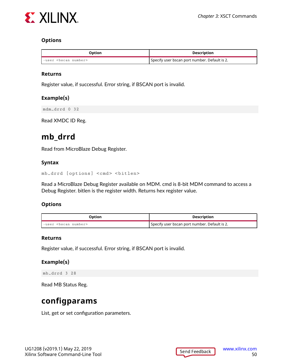<span id="page-49-0"></span>

#### **Options**

| つption                           | <b>Description</b>                            |
|----------------------------------|-----------------------------------------------|
| '-user <bscan number=""></bscan> | Specify user bscan port number. Default is 2. |

#### **Returns**

Register value, if successful. Error string, if BSCAN port is invalid.

## **Example(s)**

mdm\_drrd 0 32

Read XMDC ID Reg.

## **mb\_drrd**

Read from MicroBlaze Debug Register.

#### **Syntax**

mb\_drrd [options] <cmd> <bitlen>

Read a MicroBlaze Debug Register available on MDM. cmd is 8-bit MDM command to access a Debug Register. bitlen is the register width. Returns hex register value.

#### **Options**

| つption                          | <b>Description</b>                              |
|---------------------------------|-------------------------------------------------|
| -user <bscan number=""></bscan> | , Specify user bscan port number. Default is 2. |

#### **Returns**

Register value, if successful. Error string, if BSCAN port is invalid.

## **Example(s)**

mb\_drrd 3 28

Read MB Status Reg.

## **configparams**

List, get or set configuration parameters.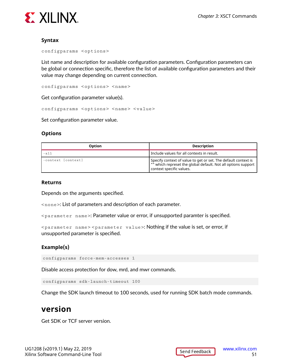<span id="page-50-0"></span>

#### **Syntax**

configparams <options>

List name and description for available configuration parameters. Configuration parameters can be global or connection specific, therefore the list of available configuration parameters and their value may change depending on current connection.

configparams <options> <name>

Get configuration parameter value(s).

configparams <options> <name> <value>

Set configuration parameter value.

#### **Options**

| <b>Option</b>      | <b>Description</b>                                                                                                                                          |
|--------------------|-------------------------------------------------------------------------------------------------------------------------------------------------------------|
| $-a11$             | Include values for all contexts in result.                                                                                                                  |
| -context [context] | Specify context of value to get or set. The default context is<br>"" which represet the global default. Not all options support<br>context specific values. |

#### **Returns**

Depends on the arguments specified.

<none>: List of parameters and description of each parameter.

<parameter name>: Parameter value or error, if unsupported paramter is specified.

<parameter name> <parameter value>: Nothing if the value is set, or error, if unsupported parameter is specified.

#### **Example(s)**

configparams force-mem-accesses 1

Disable access protection for dow, mrd, and mwr commands.

configparams sdk-launch-timeout 100

Change the SDK launch timeout to 100 seconds, used for running SDK batch mode commands.

## **version**

Get SDK or TCF server version.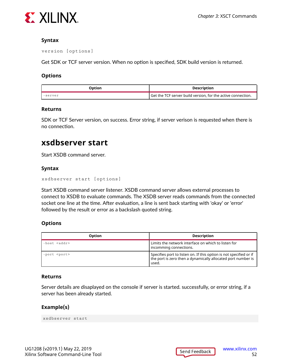<span id="page-51-0"></span>

#### **Syntax**

```
version [options]
```
Get SDK or TCF server version. When no option is specified, SDK build version is returned.

#### **Options**

| <b>D</b> ption | <b>Description</b>                                                  |
|----------------|---------------------------------------------------------------------|
| -server        | <b>Get the TCF server build version, for the active connection.</b> |

#### **Returns**

SDK or TCF Server version, on success. Error string, if server verison is requested when there is no connection.

## **xsdbserver start**

Start XSDB command server.

#### **Syntax**

```
xsdbserver start [options]
```
Start XSDB command server listener. XSDB command server allows external processes to connect to XSDB to evaluate commands. The XSDB server reads commands from the connected socket one line at the time. After evaluation, a line is sent back starting with 'okay' or 'error' followed by the result or error as a backslash quoted string.

## **Options**

| <b>Option</b>       | <b>Description</b>                                                                                                                            |
|---------------------|-----------------------------------------------------------------------------------------------------------------------------------------------|
| -host <addr></addr> | <b>l</b> Limits the network interface on which to listen for<br>incomming connections.                                                        |
| -port <port></port> | Specifies port to listen on. If this option is not specified or if<br>the port is zero then a dynamically allocated port number is<br>l used. |

#### **Returns**

Server details are disaplayed on the console if server is started. successfully, or error string, if a server has been already started.

#### **Example(s)**

xsdbserver start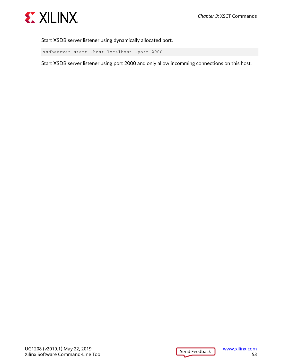Start XSDB server listener using dynamically allocated port.

xsdbserver start -host localhost -port 2000

Start XSDB server listener using port 2000 and only allow incomming connections on this host.

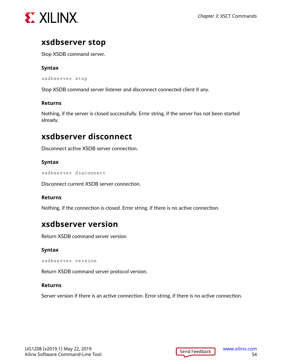<span id="page-53-0"></span>

## **xsdbserver stop**

Stop XSDB command server.

### **Syntax**

xsdbserver stop

Stop XSDB command server listener and disconnect connected client if any.

#### **Returns**

Nothing, if the server is closed successfully. Error string, if the server has not been started already.

## **xsdbserver disconnect**

Disconnect active XSDB server connection.

#### **Syntax**

```
xsdbserver disconnect
```
Disconnect current XSDB server connection.

#### **Returns**

Nothing, if the connection is closed. Error string, if there is no active connection.

## **xsdbserver version**

Return XSDB command server version

## **Syntax**

xsdbserver version

Return XSDB command server protocol version.

#### **Returns**

Server version if there is an active connection. Error string, if there is no active connection.

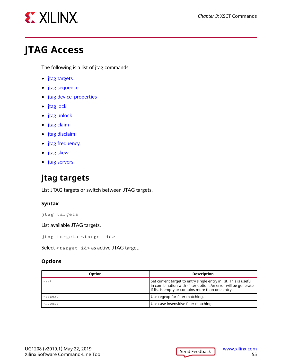

# **JTAG Access**

The following is a list of jtag commands:

- jtag targets
- jtag sequence
- [jtag device\\_properties](#page-56-0)
- [jtag lock](#page-56-0)
- [jtag unlock](#page-57-0)
- [jtag claim](#page-57-0)
- [jtag disclaim](#page-58-0)
- [jtag frequency](#page-58-0)
- [jtag skew](#page-58-0)
- [jtag servers](#page-59-0)

# **jtag targets**

List JTAG targets or switch between JTAG targets.

## **Syntax**

```
jtag targets
```
List available JTAG targets.

jtag targets <target id>

Select <target id> as active JTAG target.

## **Options**

| <b>Option</b> | <b>Description</b>                                                                                                                                                                      |
|---------------|-----------------------------------------------------------------------------------------------------------------------------------------------------------------------------------------|
| -set          | Set current target to entry single entry in list. This is useful<br>in comibination with -filter option. An error will be generate<br>if list is empty or contains more than one entry. |
| -regexp       | Use regexp for filter matching.                                                                                                                                                         |
| -nocase       | Use case insensitive filter matching.                                                                                                                                                   |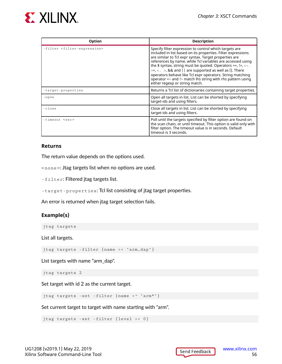

| <b>Option</b>                                   | <b>Description</b>                                                                                                                                                                                                                                                                                                                                                                                                                                                                                                                           |
|-------------------------------------------------|----------------------------------------------------------------------------------------------------------------------------------------------------------------------------------------------------------------------------------------------------------------------------------------------------------------------------------------------------------------------------------------------------------------------------------------------------------------------------------------------------------------------------------------------|
| -filter <filter-expression></filter-expression> | Specify filter expression to control which targets are<br>included in list based on its properties. Filter expressions<br>are similar to Tcl expr syntax. Target properties are<br>references by name, while Tcl variables are accessed using<br>the \$ syntax, string must be quoted. Operators ==, $!=, \leq,$<br>$\ge$ =, <, >, && and    are supported as well as (). There<br>operators behave like Tcl expr operators. String matching<br>operator =~ and !~ match lhs string with rhs pattern using<br>either regexp or string match. |
| -target-properties                              | Returns a Tcl list of dictionaries containing target properties.                                                                                                                                                                                                                                                                                                                                                                                                                                                                             |
| -open                                           | Open all targets in list. List can be shorted by specifying<br>target-ids and using filters.                                                                                                                                                                                                                                                                                                                                                                                                                                                 |
| $-c \log e$                                     | Close all targets in list. List can be shorted by specifying<br>target-ids and using filters.                                                                                                                                                                                                                                                                                                                                                                                                                                                |
| $-$ timeout $\le$ sec>                          | Poll until the targets specified by filter option are found on<br>the scan chain, or until timeout. This option is valid only with<br>filter option. The timeout value is in seconds. Default<br>timeout is 3 seconds.                                                                                                                                                                                                                                                                                                                       |

#### **Returns**

The return value depends on the options used.

<none>: Jtag targets list when no options are used.

-filter: Filtered jtag targets list.

-target-properties: Tcl list consisting of jtag target properties.

An error is returned when jtag target selection fails.

#### **Example(s)**

jtag targets

List all targets.

jtag targets -filter {name == "arm\_dap"}

List targets with name "arm\_dap".

jtag targets 2

Set target with id 2 as the current target.

jtag targets -set -filter {name = " "arm\*"}

Set current target to target with name starting with "arm".

```
jtag targets -set -filter {level == 0}
```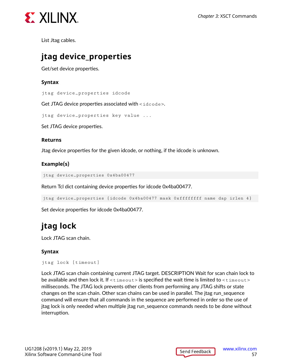<span id="page-56-0"></span>

List Jtag cables.

# **jtag device\_properties**

Get/set device properties.

## **Syntax**

jtag device\_properties idcode

Get JTAG device properties associated with  $\leq$ idcode $\geq$ .

jtag device\_properties key value ...

Set JTAG device properties.

### **Returns**

Jtag device properties for the given idcode, or nothing, if the idcode is unknown.

## **Example(s)**

jtag device\_properties 0x4ba00477

Return Tcl dict containing device properties for idcode 0x4ba00477.

jtag device\_properties {idcode 0x4ba00477 mask 0xffffffff name dap irlen 4}

Set device properties for idcode 0x4ba00477.

# **jtag lock**

Lock JTAG scan chain.

## **Syntax**

jtag lock [timeout]

Lock JTAG scan chain containing current JTAG target. DESCRIPTION Wait for scan chain lock to be available and then lock it. If  $\langle$  timeout  $\rangle$  is specified the wait time is limited to  $\langle$  timeout  $\rangle$ milliseconds. The JTAG lock prevents other clients from performing any JTAG shifts or state changes on the scan chain. Other scan chains can be used in parallel. The jtag run\_sequence command will ensure that all commands in the sequence are performed in order so the use of jtag lock is only needed when multiple jtag run\_sequence commands needs to be done without interruption.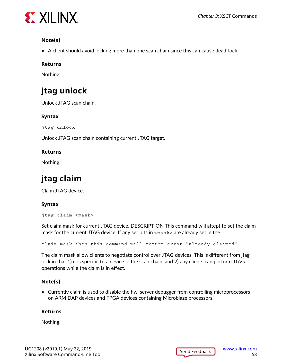<span id="page-57-0"></span>

## **Note(s)**

• A client should avoid locking more than one scan chain since this can cause dead-lock.

## **Returns**

Nothing.

# **jtag unlock**

Unlock JTAG scan chain.

## **Syntax**

jtag unlock

Unlock JTAG scan chain containing current JTAG target.

## **Returns**

Nothing.

# **jtag claim**

Claim JTAG device.

## **Syntax**

jtag claim <mask>

Set claim mask for current JTAG device. DESCRIPTION This command will attept to set the claim mask for the current JTAG device. If any set bits in  $<$ mask> are already set in the

claim mask then this command will return error "already claimed".

The claim mask allow clients to negotiate control over JTAG devices. This is different from jtag lock in that 1) it is specific to a device in the scan chain, and 2) any clients can perform JTAG operations while the claim is in effect.

## **Note(s)**

• Currently claim is used to disable the hw server debugger from controlling microprocessors on ARM DAP devices and FPGA devices containing Microblaze processors.

#### **Returns**

Nothing.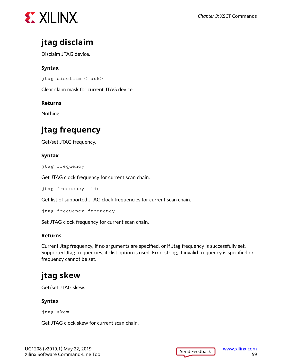<span id="page-58-0"></span>

# **jtag disclaim**

Disclaim JTAG device.

## **Syntax**

jtag disclaim <mask>

Clear claim mask for current JTAG device.

## **Returns**

Nothing.

# **jtag frequency**

Get/set JTAG frequency.

### **Syntax**

jtag frequency

Get JTAG clock frequency for current scan chain.

jtag frequency -list

Get list of supported JTAG clock frequencies for current scan chain.

jtag frequency frequency

Set JTAG clock frequency for current scan chain.

#### **Returns**

Current Jtag frequency, if no arguments are specified, or if Jtag frequency is successfully set. Supported Jtag frequencies, if -list option is used. Error string, if invalid frequency is specified or frequency cannot be set.

# **jtag skew**

Get/set JTAG skew.

#### **Syntax**

jtag skew

Get JTAG clock skew for current scan chain.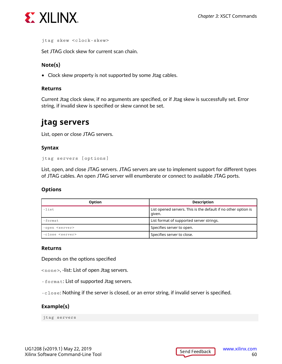<span id="page-59-0"></span>

jtag skew <clock-skew>

Set JTAG clock skew for current scan chain.

### **Note(s)**

• Clock skew property is not supported by some Jtag cables.

#### **Returns**

Current Jtag clock skew, if no arguments are specified, or if Jtag skew is successfully set. Error string, if invalid skew is specified or skew cannot be set.

# **jtag servers**

List, open or close JTAG servers.

#### **Syntax**

jtag servers [options]

List, open, and close JTAG servers. JTAG servers are use to implement support for different types of JTAG cables. An open JTAG server will enumberate or connect to available JTAG ports.

#### **Options**

| <b>Option</b>            | <b>Description</b>                                                       |
|--------------------------|--------------------------------------------------------------------------|
| $-1$ ist                 | List opened servers. This is the default if no other option is<br>given. |
| $-format$                | List format of supported server strings.                                 |
| -open <server></server>  | Specifies server to open.                                                |
| -close <server></server> | Specifies server to close.                                               |

#### **Returns**

Depends on the options specified

<none>, -list: List of open Jtag servers.

-format: List of supported Jtag servers.

-close: Nothing if the server is closed, or an error string, if invalid server is specified.

#### **Example(s)**

jtag servers

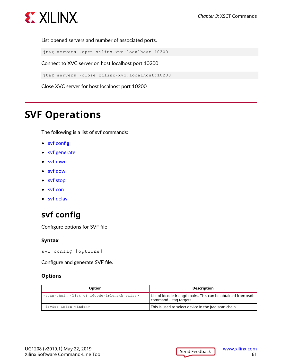

List opened servers and number of associated ports.

jtag servers -open xilinx-xvc:localhost:10200

Connect to XVC server on host localhost port 10200

jtag servers -close xilinx-xvc:localhost:10200

Close XVC server for host localhost port 10200

# **SVF Operations**

The following is a list of svf commands:

- svf config
- [svf generate](#page-61-0)
- [svf mwr](#page-62-0)
- [svf dow](#page-62-0)
- [svf stop](#page-63-0)
- [svf con](#page-63-0)
- [svf delay](#page-64-0)

# **svf config**

Configure options for SVF file

#### **Syntax**

svf config [options]

Configure and generate SVF file.

#### **Options**

| <b>Option</b>                                               | <b>Description</b>                                                                      |
|-------------------------------------------------------------|-----------------------------------------------------------------------------------------|
| -scan-chain <list idcode-irlength="" of="" pairs=""></list> | List of idcode-irlength pairs. This can be obtained from xsdb<br>command - jtag targets |
| -device-index <index></index>                               | This is used to select device in the jtag scan chain.                                   |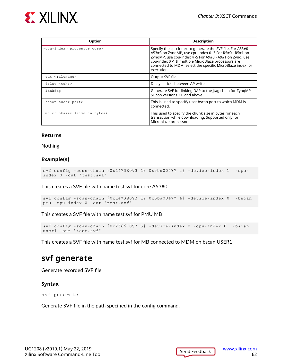<span id="page-61-0"></span>

| <b>Option</b>                              | <b>Description</b>                                                                                                                                                                                                                                                                                                   |
|--------------------------------------------|----------------------------------------------------------------------------------------------------------------------------------------------------------------------------------------------------------------------------------------------------------------------------------------------------------------------|
| -cpu-index <processor core=""></processor> | Specify the cpu-index to generate the SVF file. For A53#0 -<br>A53#3 on ZyngMP, use cpu-index 0 -3 For R5#0 - R5#1 on<br>ZyngMP, use cpu-index 4 -5 For A9#0 - A9#1 on Zyng, use<br>cpu-index 0 -1 If multiple MicroBlaze processors are<br>connected to MDM, select the specific MicroBlaze index for<br>execution. |
| -out <filename></filename>                 | Output SVF file.                                                                                                                                                                                                                                                                                                     |
| -delay <tcks></tcks>                       | Delay in ticks between AP writes.                                                                                                                                                                                                                                                                                    |
| -linkdap                                   | Generate SVF for linking DAP to the jtag chain for ZyngMP<br>Silicon versions 2.0 and above.                                                                                                                                                                                                                         |
| -bscan <user port=""></user>               | This is used to specify user bscan port to which MDM is<br>connected.                                                                                                                                                                                                                                                |
| -mb-chunksize <size bytes="" in=""></size> | This used to specify the chunk size in bytes for each<br>transaction while downloading. Supported only for<br>Microblaze processors.                                                                                                                                                                                 |

#### **Returns**

Nothing

#### **Example(s)**

```
svf config -scan-chain {0x14738093 12 0x5ba00477 4} -device-index 1 -cpu-
index 0 -out "test.svf"
```
This creates a SVF file with name test.svf for core A53#0

```
svf config -scan-chain {0x14738093 12 0x5ba00477 4} -device-index 0 -bscan 
pmu -cpu-index 0 -out "test.svf"
```
This creates a SVF file with name test.svf for PMU MB

svf config -scan-chain {0x23651093 6} -device-index 0 -cpu-index 0 -bscan user1 -out "test.svf"

This creates a SVF file with name test.svf for MB connected to MDM on bscan USER1

## **svf generate**

Generate recorded SVF file

#### **Syntax**

svf generate

Generate SVF file in the path specified in the config command.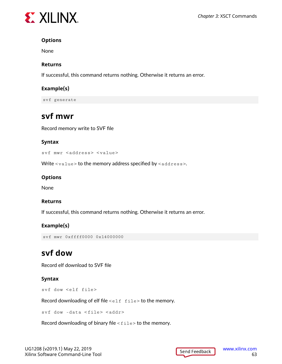<span id="page-62-0"></span>

### **Options**

None

#### **Returns**

If successful, this command returns nothing. Otherwise it returns an error.

### **Example(s)**

svf generate

## **svf mwr**

Record memory write to SVF file

### **Syntax**

svf mwr <address> <value>

Write  $\langle \text{value} \rangle$  to the memory address specified by  $\langle \text{address} \rangle$ .

#### **Options**

None

#### **Returns**

If successful, this command returns nothing. Otherwise it returns an error.

## **Example(s)**

svf mwr 0xffff0000 0x14000000

## **svf dow**

Record elf download to SVF file

#### **Syntax**

svf dow <elf file>

Record downloading of elf file  $\le$ elf file> to the memory.

svf dow -data <file> <addr>

Record downloading of binary file  $\leq$  file  $>$  to the memory.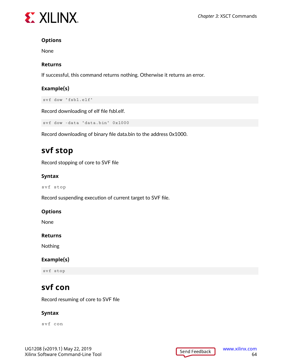

<span id="page-63-0"></span>

#### **Options**

None

#### **Returns**

If successful, this command returns nothing. Otherwise it returns an error.

## **Example(s)**

svf dow "fsbl.elf"

Record downloading of elf file fsbl.elf.

svf dow -data "data.bin" 0x1000

Record downloading of binary file data.bin to the address 0x1000.

## **svf stop**

Record stopping of core to SVF file

#### **Syntax**

svf stop

Record suspending execution of current target to SVF file.

#### **Options**

None

#### **Returns**

Nothing

## **Example(s)**

svf stop

## **svf con**

Record resuming of core to SVF file

#### **Syntax**

svf con

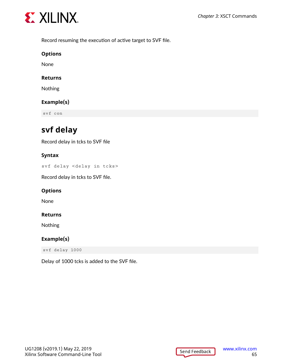<span id="page-64-0"></span>

Record resuming the execution of active target to SVF file.

### **Options**

None

### **Returns**

Nothing

## **Example(s)**

svf con

## **svf delay**

Record delay in tcks to SVF file

### **Syntax**

svf delay <delay in tcks>

Record delay in tcks to SVF file.

## **Options**

None

#### **Returns**

Nothing

## **Example(s)**

svf delay 1000

Delay of 1000 tcks is added to the SVF file.

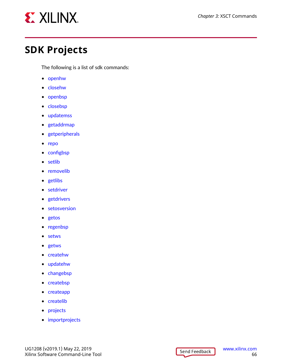

# **SDK Projects**

The following is a list of sdk commands:

- [openhw](#page-67-0)
- [closehw](#page-67-0)
- [openbsp](#page-68-0)
- [closebsp](#page-68-0)
- [updatemss](#page-69-0)
- [getaddrmap](#page-70-0)
- [getperipherals](#page-70-0)
- [repo](#page-71-0)
- [configbsp](#page-72-0)
- [setlib](#page-73-0)
- [removelib](#page-74-0)
- [getlibs](#page-74-0)
- [setdriver](#page-75-0)
- [getdrivers](#page-76-0)
- [setosversion](#page-76-0)
- [getos](#page-77-0)
- [regenbsp](#page-77-0)
- [setws](#page-78-0)
- [getws](#page-79-0)
- [createhw](#page-79-0)
- [updatehw](#page-79-0)
- [changebsp](#page-80-0)
- [createbsp](#page-81-0)
- [createapp](#page-82-0)
- [createlib](#page-84-0)
- [projects](#page-85-0)
- [importprojects](#page-86-0)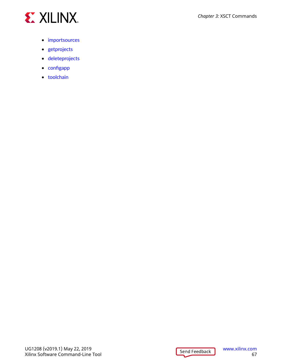

- [importsources](#page-86-0)
- [getprojects](#page-87-0)
- [deleteprojects](#page-87-0)
- [configapp](#page-88-0)
- [toolchain](#page-91-0)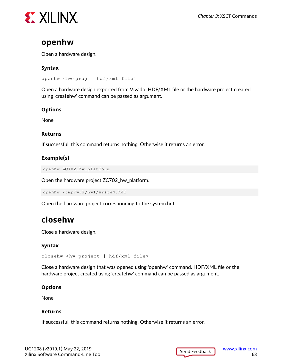<span id="page-67-0"></span>

## **openhw**

Open a hardware design.

## **Syntax**

```
openhw <hw-proj | hdf/xml file>
```
Open a hardware design exported from Vivado. HDF/XML file or the hardware project created using 'createhw' command can be passed as argument.

## **Options**

None

### **Returns**

If successful, this command returns nothing. Otherwise it returns an error.

## **Example(s)**

openhw ZC702\_hw\_platform

Open the hardware project ZC702\_hw\_platform.

openhw /tmp/wrk/hw1/system.hdf

Open the hardware project corresponding to the system.hdf.

# **closehw**

Close a hardware design.

## **Syntax**

```
closehw <hw project | hdf/xml file>
```
Close a hardware design that was opened using 'openhw' command. HDF/XML file or the hardware project created using 'createhw' command can be passed as argument.

## **Options**

None

#### **Returns**

If successful, this command returns nothing. Otherwise it returns an error.

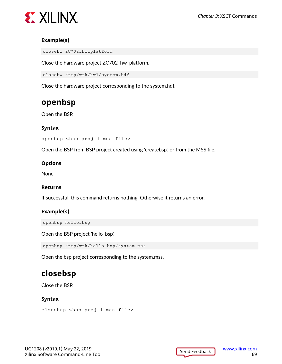<span id="page-68-0"></span>

## **Example(s)**

closehw ZC702\_hw\_platform

Close the hardware project ZC702\_hw\_platform.

```
closehw /tmp/wrk/hw1/system.hdf
```
Close the hardware project corresponding to the system.hdf.

# **openbsp**

Open the BSP.

## **Syntax**

```
openbsp <bsp-proj | mss-file>
```
Open the BSP from BSP project created using 'createbsp', or from the MSS file.

## **Options**

None

#### **Returns**

If successful, this command returns nothing. Otherwise it returns an error.

## **Example(s)**

openbsp hello\_bsp

Open the BSP project 'hello\_bsp'.

```
openbsp /tmp/wrk/hello_bsp/system.mss
```
Open the bsp project corresponding to the system.mss.

# **closebsp**

Close the BSP.

## **Syntax**

```
closebsp <bsp-proj | mss-file>
```
UG1208 (v2019.1) May 22, 2019<br>
Www.xilinx.com Sensus and Line Teel Xilinx Software Command-Line Tool 69 Senath Command Feedback 69 Senath Command-Line Tool 69 Senath Command Feedback 69 Senath Command Feedback 69 Senath Command Feedback 69 Senath Command Feedback 69 Senath Command Feedbac

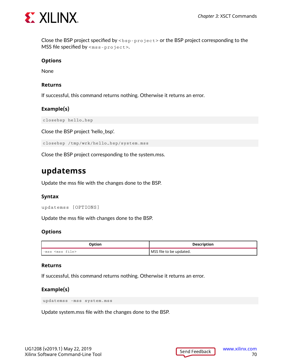<span id="page-69-0"></span>

Close the BSP project specified by <bsp-project> or the BSP project corresponding to the MSS file specified by  $\leq$ mss-project>.

### **Options**

None

### **Returns**

If successful, this command returns nothing. Otherwise it returns an error.

## **Example(s)**

closebsp hello\_bsp

Close the BSP project 'hello\_bsp'.

closebsp /tmp/wrk/hello\_bsp/system.mss

Close the BSP project corresponding to the system.mss.

# **updatemss**

Update the mss file with the changes done to the BSP.

## **Syntax**

```
updatemss [OPTIONS]
```
Update the mss file with changes done to the BSP.

## **Options**

| Option                    | <b>Description</b>      |
|---------------------------|-------------------------|
| '-mss <mss file=""></mss> | MSS file to be updated. |

## **Returns**

If successful, this command returns nothing. Otherwise it returns an error.

## **Example(s)**

updatemss -mss system.mss

Update system.mss file with the changes done to the BSP.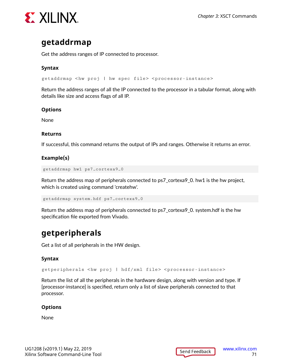<span id="page-70-0"></span>

# **getaddrmap**

Get the address ranges of IP connected to processor.

## **Syntax**

getaddrmap <hw proj | hw spec file> <processor-instance>

Return the address ranges of all the IP connected to the processor in a tabular format, along with details like size and access flags of all IP.

### **Options**

None

#### **Returns**

If successful, this command returns the output of IPs and ranges. Otherwise it returns an error.

## **Example(s)**

getaddrmap hw1 ps7\_cortexa9\_0

Return the address map of peripherals connected to ps7\_cortexa9\_0. hw1 is the hw project, which is created using command 'createhw'.

getaddrmap system.hdf ps7\_cortexa9\_0

Return the address map of peripherals connected to ps7\_cortexa9\_0. system.hdf is the hw specification file exported from Vivado.

# **getperipherals**

Get a list of all peripherals in the HW design.

## **Syntax**

getperipherals <hw proj | hdf/xml file> <processor-instance>

Return the list of all the peripherals in the hardware design, along with version and type. If [processor-instance] is specified, return only a list of slave peripherals connected to that processor.

## **Options**

None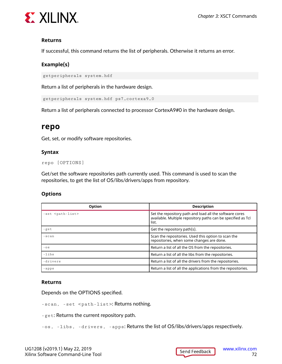<span id="page-71-0"></span>

#### **Returns**

If successful, this command returns the list of peripherals. Otherwise it returns an error.

### **Example(s)**

getperipherals system.hdf

Return a list of peripherals in the hardware design.

getperipherals system.hdf ps7\_cortexa9\_0

Return a list of peripherals connected to processor CortexA9#0 in the hardware design.

## **repo**

Get, set, or modify software repositories.

#### **Syntax**

repo [OPTIONS]

Get/set the software repositories path currently used. This command is used to scan the repositories, to get the list of OS/libs/drivers/apps from repository.

#### **Options**

| <b>Option</b>                | <b>Description</b>                                                                                                               |
|------------------------------|----------------------------------------------------------------------------------------------------------------------------------|
| -set <path-list></path-list> | Set the repository path and load all the software cores<br>available. Multiple repository paths can be specified as Tcl<br>list. |
| -get                         | Get the repository path(s).                                                                                                      |
| -scan                        | Scan the repositories. Used this option to scan the<br>repositories, when some changes are done.                                 |
| $-OS$                        | Return a list of all the OS from the repositories.                                                                               |
| $-1$ ibs                     | Return a list of all the libs from the repositories.                                                                             |
| -drivers                     | Return a list of all the drivers from the repositories.                                                                          |
| -apps                        | Return a list of all the applications from the repositories.                                                                     |

#### **Returns**

Depends on the OPTIONS specified.

-scan, -set <path-list>: Returns nothing.

-get: Returns the current repository path.

-os, -libs, -drivers, -apps: Returns the list of OS/libs/drivers/apps respectively.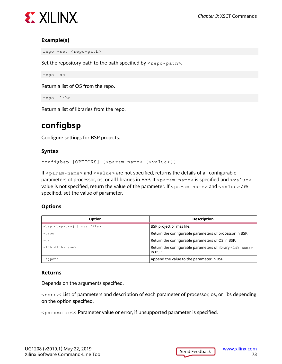

#### **Example(s)**

repo -set <repo-path>

Set the repository path to the path specified by  $\leq$  repo-path>.

repo -os

Return a list of OS from the repo.

repo -libs

Return a list of libraries from the repo.

## **configbsp**

Configure settings for BSP projects.

#### **Syntax**

```
configbsp [OPTIONS] [<param-name> [<value>]]
```
If  $\epsilon$  param-name> and  $\epsilon$  value> are not specified, returns the details of all configurable parameters of processor, os, or all libraries in BSP. If  $\leq$  param-name> is specified and  $\leq$  value> value is not specified, return the value of the parameter. If  $\epsilon_{\text{param-name}}$  and  $\epsilon_{\text{value}}$  are specified, set the value of parameter.

#### **Options**

| <b>Option</b>                                  | <b>Description</b>                                                  |
|------------------------------------------------|---------------------------------------------------------------------|
| -bsp <bsp-proj file="" mss=""  =""></bsp-proj> | BSP project or mss file.                                            |
| $-Droc$                                        | Return the configurable parameters of processor in BSP.             |
| $-OS$                                          | Return the configurable parameters of OS in BSP.                    |
| $-1$ ib $<$ lib $-$ name>                      | Return the configurable parameters of library <1ib-name><br>in BSP. |
| -append                                        | Append the value to the parameter in BSP.                           |

#### **Returns**

Depends on the arguments specified.

 $\leq$ none $\geq$ : List of parameters and description of each parameter of processor, os, or libs depending on the option specified.

<parameter>: Parameter value or error, if unsupported parameter is specified.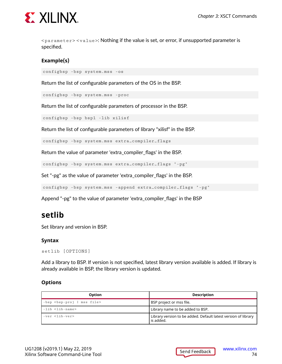

<parameter> <value>: Nothing if the value is set, or error, if unsupported parameter is specified.

#### **Example(s)**

configbsp -bsp system.mss -os

Return the list of configurable parameters of the OS in the BSP.

configbsp -bsp system.mss -proc

Return the list of configurable parameters of processor in the BSP.

configbsp -bsp bsp1 -lib xilisf

Return the list of configurable parameters of library "xilisf" in the BSP.

configbsp -bsp system.mss extra\_compiler\_flags

Return the value of parameter 'extra\_compiler\_flags' in the BSP.

configbsp -bsp system.mss extra\_compiler\_flags "-pg"

Set "-pg" as the value of parameter 'extra compiler flags' in the BSP.

configbsp -bsp system.mss -append extra\_compiler\_flags "-pg"

Append "-pg" to the value of parameter 'extra\_compiler\_flags' in the BSP

### **setlib**

Set library and version in BSP.

#### **Syntax**

```
setlib [OPTIONS]
```
Add a library to BSP. If version is not specified, latest library version available is added. If library is already available in BSP, the library version is updated.

#### **Options**

| <b>Option</b>                                  | <b>Description</b>                                                          |
|------------------------------------------------|-----------------------------------------------------------------------------|
| -bsp <bsp-proj file="" mss=""  =""></bsp-proj> | BSP project or mss file.                                                    |
| $-1$ ib $\langle$ lib-name>                    | Library name to be added to BSP.                                            |
| $-ver$ $<$ lib-ver>                            | Library version to be added. Default latest version of library<br>is added. |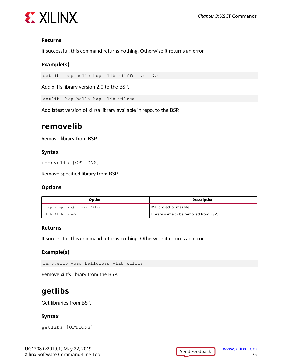

#### **Returns**

If successful, this command returns nothing. Otherwise it returns an error.

#### **Example(s)**

```
setlib -bsp hello_bsp -lib xilffs -ver 2.0
```
Add xilffs library version 2.0 to the BSP.

setlib -bsp hello\_bsp -lib xilrsa

Add latest version of xilrsa library available in repo, to the BSP.

### **removelib**

Remove library from BSP.

#### **Syntax**

```
removelib [OPTIONS]
```
Remove specified library from BSP.

#### **Options**

| <b>Option</b>                                  | <b>Description</b>                   |
|------------------------------------------------|--------------------------------------|
| -bsp <bsp-proj file="" mss=""  =""></bsp-proj> | BSP project or mss file.             |
| $-1$ ib $<1$ ib-name>                          | Library name to be removed from BSP. |

#### **Returns**

If successful, this command returns nothing. Otherwise it returns an error.

#### **Example(s)**

removelib -bsp hello\_bsp -lib xilffs

Remove xilffs library from the BSP.

### **getlibs**

Get libraries from BSP.

#### **Syntax**

getlibs [OPTIONS]

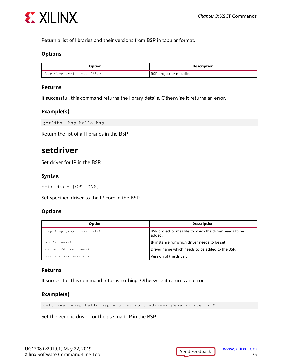

Return a list of libraries and their versions from BSP in tabular format.

#### **Options**

| Option                                      | <b>Description</b>       |
|---------------------------------------------|--------------------------|
| -bsp <bsp-proj mss-file=""  =""></bsp-proj> | BSP project or mss file. |

#### **Returns**

If successful, this command returns the library details. Otherwise it returns an error.

#### **Example(s)**

```
getlibs -bsp hello_bsp
```
Return the list of all libraries in the BSP.

### **setdriver**

Set driver for IP in the BSP.

#### **Syntax**

setdriver [OPTIONS]

Set specified driver to the IP core in the BSP.

#### **Options**

| <b>Option</b>                               | <b>Description</b>                                                |
|---------------------------------------------|-------------------------------------------------------------------|
| -bsp <bsp-proj mss-file=""  =""></bsp-proj> | BSP project or mss file to which the driver needs to be<br>added. |
| $-ip$ $<$ ip $-name$                        | IP instance for which driver needs to be set.                     |
| -driver <driver-name></driver-name>         | Driver name which needs to be added to the BSP.                   |
| -ver <driver-version></driver-version>      | Version of the driver.                                            |

#### **Returns**

If successful, this command returns nothing. Otherwise it returns an error.

#### **Example(s)**

setdriver -bsp hello\_bsp -ip ps7\_uart -driver generic -ver 2.0

Set the generic driver for the ps7\_uart IP in the BSP.

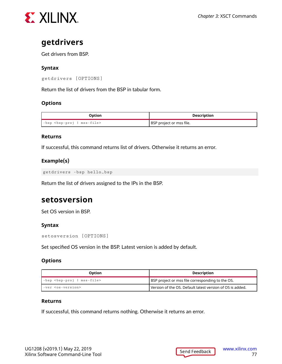

### **getdrivers**

Get drivers from BSP.

#### **Syntax**

```
getdrivers [OPTIONS]
```
Return the list of drivers from the BSP in tabular form.

#### **Options**

| Option                                      | <b>Description</b>       |
|---------------------------------------------|--------------------------|
| -bsp <bsp-proj mss-file=""  =""></bsp-proj> | BSP project or mss file. |

#### **Returns**

If successful, this command returns list of drivers. Otherwise it returns an error.

#### **Example(s)**

getdrivers -bsp hello\_bsp

Return the list of drivers assigned to the IPs in the BSP.

### **setosversion**

Set OS version in BSP.

#### **Syntax**

```
setosversion [OPTIONS]
```
Set specified OS version in the BSP. Latest version is added by default.

#### **Options**

| <b>Option</b>                               | <b>Description</b>                                          |
|---------------------------------------------|-------------------------------------------------------------|
| -bsp <bsp-proj mss-file=""  =""></bsp-proj> | BSP project or mss file corresponding to the OS.            |
| -ver <os-version></os-version>              | l Version of the OS. Default latest version of OS is added. |

#### **Returns**

If successful, this command returns nothing. Otherwise it returns an error.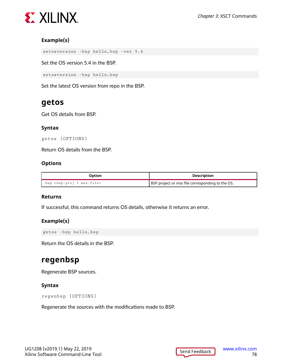

#### **Example(s)**

setosversion -bsp hello\_bsp -ver 5.4

Set the OS version 5.4 in the BSP.

setosversion -bsp hello\_bsp

Set the latest OS version from repo in the BSP.

### **getos**

Get OS details from BSP.

#### **Syntax**

getos [OPTIONS]

Return OS details from the BSP.

#### **Options**

| Option                                      | <b>Description</b>                                      |
|---------------------------------------------|---------------------------------------------------------|
| -bsp <bsp-proj mss-file=""  =""></bsp-proj> | <b>BSP</b> project or mss file corresponding to the OS. |

#### **Returns**

If successful, this command returns OS details, otherwise it returns an error.

#### **Example(s)**

getos -bsp hello\_bsp

Return the OS details in the BSP.

### **regenbsp**

Regenerate BSP sources.

#### **Syntax**

regenbsp [OPTIONS]

Regenerate the sources with the modifications made to BSP.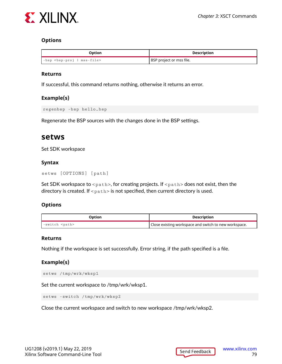

#### **Options**

| Option                                      | <b>Description</b>                |
|---------------------------------------------|-----------------------------------|
| -bsp <bsp-proj mss-file=""  =""></bsp-proj> | <b>I BSP project or mss file.</b> |

#### **Returns**

If successful, this command returns nothing, otherwise it returns an error.

#### **Example(s)**

regenbsp -bsp hello\_bsp

Regenerate the BSP sources with the changes done in the BSP settings.

### **setws**

Set SDK workspace

#### **Syntax**

```
setws [OPTIONS] [path]
```
Set SDK workspace to  $\langle$  path>, for creating projects. If  $\langle$  path> does not exist, then the directory is created. If  $\langle$  path> is not specified, then current directory is used.

#### **Options**

| Option                | <b>Description</b>                                    |
|-----------------------|-------------------------------------------------------|
| -switch <path></path> | Close existing workspace and switch to new workspace. |

#### **Returns**

Nothing if the workspace is set successfully. Error string, if the path specified is a file.

#### **Example(s)**

```
setws /tmp/wrk/wksp1
```
Set the current workspace to /tmp/wrk/wksp1.

setws -switch /tmp/wrk/wksp2

Close the current workspace and switch to new workspace /tmp/wrk/wksp2.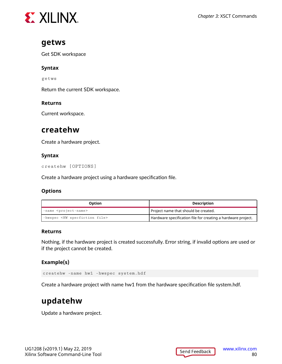

### **getws**

Get SDK workspace

#### **Syntax**

getws

Return the current SDK workspace.

#### **Returns**

Current workspace.

### **createhw**

Create a hardware project.

#### **Syntax**

createhw [OPTIONS]

Create a hardware project using a hardware specification file.

#### **Options**

| <b>Option</b>                            | <b>Description</b>                                           |
|------------------------------------------|--------------------------------------------------------------|
| -name <project-name></project-name>      | Project name that should be created.                         |
| -hwspec <hw file="" specfiction=""></hw> | Hardware specification file for creating a hardware project. |

#### **Returns**

Nothing, if the hardware project is created successfully. Error string, if invalid options are used or if the project cannot be created.

#### **Example(s)**

createhw -name hw1 -hwspec system.hdf

Create a hardware project with name hw1 from the hardware specification file system.hdf.

### **updatehw**

Update a hardware project.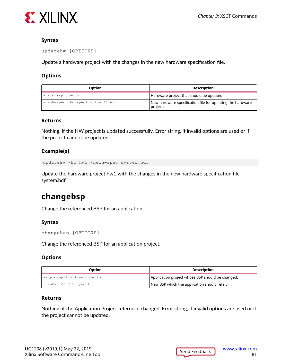

#### **Syntax**

updatehw [OPTIONS]

Update a hardware project with the changes in the new hardware specification file.

#### **Options**

| <b>Option</b>                               | <b>Description</b>                                                    |
|---------------------------------------------|-----------------------------------------------------------------------|
| -hw <hw-project></hw-project>               | Hardware project that should be updated.                              |
| -newhwspec <hw file="" specfiction=""></hw> | New hardware specification file for updating the hardware<br>project. |

#### **Returns**

Nothing, if the HW project is updated successfully. Error string, if invalid options are used or if the project cannot be updated.

#### **Example(s)**

updatehw -hw hw1 -newhwspec system.hdf

Update the hardware project hw1 with the changes in the new hardware specification file system.hdf.

## **changebsp**

Change the referenced BSP for an application.

#### **Syntax**

```
changebsp [OPTIONS]
```
Change the referenced BSP for an application project.

#### **Options**

| <b>Option</b>                                    | <b>Description</b>                               |
|--------------------------------------------------|--------------------------------------------------|
| -app <application-project></application-project> | Application project whose BSP should be changed. |
| -newbsp <bsp project=""></bsp>                   | New BSP which the application should refer.      |

#### **Returns**

Nothing, if the Application Project refernece changed. Error string, if invalid options are used or if the project cannot be updated.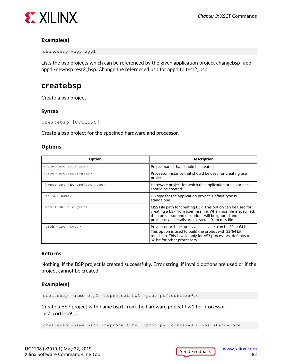

#### **Example(s)**

changebsp -app app1

Lists the bsp projects which can be referenced by the given application project changebsp -app app1 -newbsp test2\_bsp. Change the referneced bsp for app1 to test2\_bsp.

### **createbsp**

Create a bsp project

#### **Syntax**

createbsp [OPTIONS]

Create a bsp project for the specified hardware and processor.

#### **Options**

| Option                                  | <b>Description</b>                                                                                                                                                                                                                      |
|-----------------------------------------|-----------------------------------------------------------------------------------------------------------------------------------------------------------------------------------------------------------------------------------------|
| -name <project-name></project-name>     | Project name that should be created                                                                                                                                                                                                     |
| -proc <processor-name></processor-name> | Processor instance that should be used for creating bsp<br>project.                                                                                                                                                                     |
| -hwproject <hw name="" project=""></hw> | Hardware project for which the application or bsp project<br>should be created.                                                                                                                                                         |
| $-$ os $<$ OS name>                     | OS type for the application project. Default type is<br>standalone                                                                                                                                                                      |
| -mss <mss file="" path=""></mss>        | MSS File path for creating BSP. This option can be used for<br>creating a BSP from user mss file. When mss file is specified,<br>then processor and os options will be ignored and<br>processor/os details are extracted from mss file. |
| -arch <arch-type></arch-type>           | Processor architecture, <arch-type> can be 32 or 64 bits.<br/>This option is used to build the project with 32/64 bit<br/>toolchain. This is valid only for A53 processors, defaults to<br/>32-bit for other processors.</arch-type>    |

#### **Returns**

Nothing, if the BSP project is created successfully. Error string, if invalid options are used or if the project cannot be created.

#### **Example(s)**

createbsp -name bsp1 -hwproject hw1 -proc ps7\_cortexa9\_0

Create a BSP project with name bsp1 from the hardware project hw1 for processor 'ps7\_cortexa9\_0'

createbsp -name bsp1 -hwproject hw1 -proc ps7\_cortexa9\_0 -os standalone

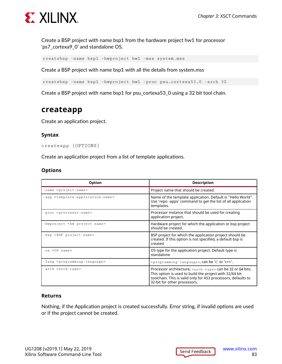

Create a BSP project with name bsp1 from the hardware project hw1 for processor 'ps7\_cortexa9\_0' and standalone OS.

createbsp -name bsp1 -hwproject hw1 -mss system.mss

Create a BSP project with name bsp1 with all the details from system.mss

createbsp -name bsp1 -hwproject hw1 -proc psu\_cortexa53\_0 -arch 32

Create a BSP project with name bsp1 for psu\_cortexa53\_0 using a 32 bit tool chain.

### **createapp**

Create an application project.

#### **Syntax**

createapp [OPTIONS]

Create an application project from a list of template applications.

#### **Options**

| <b>Option</b>                                                | <b>Description</b>                                                                                                                                                                                                             |
|--------------------------------------------------------------|--------------------------------------------------------------------------------------------------------------------------------------------------------------------------------------------------------------------------------|
| -name <project-name></project-name>                          | Project name that should be created.                                                                                                                                                                                           |
| -app <template-application-name></template-application-name> | Name of the template application. Default is "Hello World".<br>Use 'repo -apps' command to get the list of all application<br>templates.                                                                                       |
| -proc <processor-name></processor-name>                      | Processor instance that should be used for creating<br>application project.                                                                                                                                                    |
| -hwproject <hw name="" project=""></hw>                      | Hardware project for which the application or bsp project<br>should be created.                                                                                                                                                |
| -bsp <bsp name="" project=""></bsp>                          | BSP project for which the application project should be<br>created. If this option is not specified, a default bsp is<br>created                                                                                               |
| $-0s < 0S$ name>                                             | OS type for the application project. Default type is<br>standalone                                                                                                                                                             |
| -lang <programming-language></programming-language>          | <programming-language>, can be 'c' or 'c++'.</programming-language>                                                                                                                                                            |
| -arch <arch-type></arch-type>                                | Processor architecture, $\langle$ arch-type> can be 32 or 64 bits.<br>This option is used to build the project with 32/64 bit<br>toolchain. This is valid only for A53 processors, defaults to<br>32-bit for other processors. |

#### **Returns**

Nothing, if the Application project is created successfully. Error string, if invalid options are used or if the project cannot be created.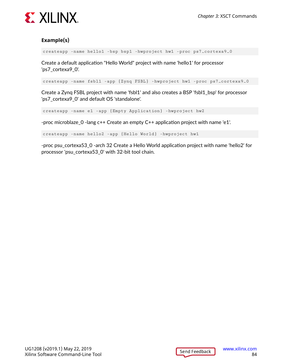

#### **Example(s)**

createapp -name hello1 -bsp bsp1 -hwproject hw1 -proc ps7\_cortexa9\_0

Create a default application "Hello World" project with name 'hello1' for processor 'ps7\_cortexa9\_0'.

createapp -name fsbl1 -app {Zynq FSBL} -hwproject hw1 -proc ps7\_cortexa9\_0

Create a Zynq FSBL project with name 'fsbl1' and also creates a BSP 'fsbl1\_bsp' for processor 'ps7\_cortexa9\_0' and default OS 'standalone'.

createapp -name e1 -app {Empty Application} -hwproject hw2

-proc microblaze\_0 -lang c++ Create an empty C++ application project with name 'e1'.

createapp -name hello2 -app {Hello World} -hwproject hw1

-proc psu\_cortexa53\_0 -arch 32 Create a Hello World application project with name 'hello2' for processor 'psu\_cortexa53\_0' with 32-bit tool chain.

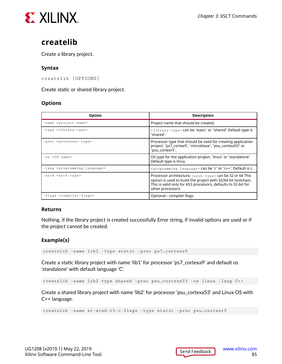

### **createlib**

Create a library project.

#### **Syntax**

createlib [OPTIONS]

Create static or shared library project.

#### **Options**

| <b>Option</b>                                       | <b>Description</b>                                                                                                                                                                                                    |
|-----------------------------------------------------|-----------------------------------------------------------------------------------------------------------------------------------------------------------------------------------------------------------------------|
| -name <project-name></project-name>                 | Project name that should be created.                                                                                                                                                                                  |
| -type <library-type></library-type>                 | <library-type> can be 'static' or 'shared' Default type is<br/>'shared'.</library-type>                                                                                                                               |
| -proc <processor-type></processor-type>             | Processor type that should be used for creating application<br>project. 'ps7_cortex9', 'microblaze', 'psu_cortexa53' or<br>'psu cortexr5'.                                                                            |
| $-$ os $<$ OS name >                                | OS type for the application project. 'linux' or 'standalone'<br>Default type is linux.                                                                                                                                |
| -lang <programming-language></programming-language> | <programming-language> can be 'c' or 'c++'. Default is c.</programming-language>                                                                                                                                      |
| -arch <arch-type></arch-type>                       | Processor architecture, $\leq$ arch-type> can be 32 or 64 This<br>option is used to build the project with 32/64 bit toolchain.<br>This is valid only for A53 processors, defaults to 32-bit for<br>other processors. |
| -flags <compiler-flags></compiler-flags>            | Optional - compiler flags.                                                                                                                                                                                            |

#### **Returns**

Nothing, if the library project is created successfully Error string, if invalid options are used or if the project cannot be created.

#### **Example(s)**

createlib -name lib1 -type static -proc ps7\_cortexa9

Create a static library project with name 'lib1' for processor 'ps7\_cortexa9' and default os 'standalone' with default language 'C'.

createlib -name lib2 type shared -proc psu\_cortexa53 -os linux -lang C++

Create a shared library project with name 'lib2' for processor 'psu\_cortexa53' and Linux OS with C++ language.

createlib -name st-stnd-r5-c-flags -type static -proc psu\_cortexr5

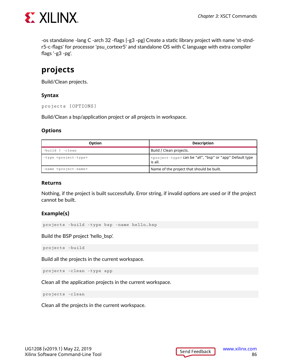

-os standalone -lang C -arch 32 -flags {-g3 -pg} Create a static library project with name 'st-stndr5-c-flags' for processor 'psu\_cortexr5' and standalone OS with C language with extra compiler flags '-g3 -pg'.

## **projects**

Build/Clean projects.

#### **Syntax**

projects [OPTIONS]

Build/Clean a bsp/application project or all projects in workspace.

#### **Options**

| <b>Option</b>                       | <b>Description</b>                                                                  |
|-------------------------------------|-------------------------------------------------------------------------------------|
| -build   -clean                     | Build / Clean projects.                                                             |
| -type <project-type></project-type> | <project-type> can be "all", "bsp" or "app" Default type<br/>is all.</project-type> |
| -name <project-name></project-name> | Name of the project that should be built.                                           |

#### **Returns**

Nothing, if the project is built successfully. Error string, if invalid options are used or if the project cannot be built.

#### **Example(s)**

projects -build -type bsp -name hello\_bsp

Build the BSP project 'hello\_bsp'.

projects -build

Build all the projects in the current workspace.

projects -clean -type app

Clean all the application projects in the current workspace.

projects -clean

Clean all the projects in the current workspace.

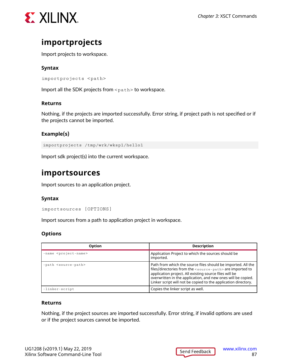

### **importprojects**

Import projects to workspace.

#### **Syntax**

```
importprojects <path>
```
Import all the SDK projects from  $\leq$  path  $>$  to workspace.

#### **Returns**

Nothing, if the projects are imported successfully. Error string, if project path is not specified or if the projects cannot be imported.

#### **Example(s)**

importprojects /tmp/wrk/wksp1/hello1

Import sdk project(s) into the current workspace.

### **importsources**

Import sources to an application project.

#### **Syntax**

importsources [OPTIONS]

Import sources from a path to application project in workspace.

#### **Options**

| <b>Option</b>                       | <b>Description</b>                                                                                                                                                                                                                                                                                                                   |
|-------------------------------------|--------------------------------------------------------------------------------------------------------------------------------------------------------------------------------------------------------------------------------------------------------------------------------------------------------------------------------------|
| -name <project-name></project-name> | Application Project to which the sources should be<br>imported.                                                                                                                                                                                                                                                                      |
| -path <source-path></source-path>   | Path from which the source files should be imported. All the<br>files/directories from the <source-path>are imported to<br/>application project. All existing source files will be<br/>overwritten in the application, and new ones will be copied.<br/>Linker script will not be copied to the application directory.</source-path> |
| $-linker$ -script                   | Copies the linker script as well.                                                                                                                                                                                                                                                                                                    |

#### **Returns**

Nothing, if the project sources are imported successfully. Error string, if invalid options are used or if the project sources cannot be imported.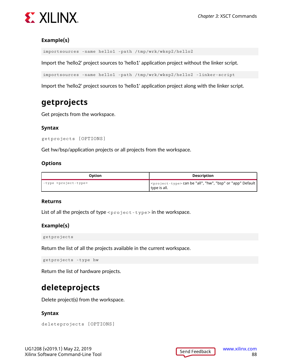

#### **Example(s)**

importsources -name hello1 -path /tmp/wrk/wksp2/hello2

Import the 'hello2' project sources to 'hello1' application project without the linker script.

importsources -name hello1 -path /tmp/wrk/wksp2/hello2 -linker-script

Import the 'hello2' project sources to 'hello1' application project along with the linker script.

### **getprojects**

Get projects from the workspace.

#### **Syntax**

getprojects [OPTIONS]

Get hw/bsp/application projects or all projects from the workspace.

#### **Options**

| <b>Option</b>                        | <b>Description</b>                                                                            |
|--------------------------------------|-----------------------------------------------------------------------------------------------|
| I-type <project-type></project-type> | <project-type> can be "all", "hw", "bsp" or "app" Default  <br/>I type is all.</project-type> |

#### **Returns**

List of all the projects of type  $<$ project-type> in the workspace.

#### **Example(s)**

```
getprojects
```
Return the list of all the projects available in the current workspace.

getprojects -type hw

Return the list of hardware projects.

## **deleteprojects**

Delete project(s) from the workspace.

#### **Syntax**

```
deleteprojects [OPTIONS]
```
UG1208 (v2019.1) May 22, 2019<br>
Www.xilinx.com [www.xilinx.com](https://www.xilinx.com) Send Feedback Xilinx Software Command-Line Tool 88 Senath Command Feedback 88 Senath Resource 88 Senath Resource 88 Senath R

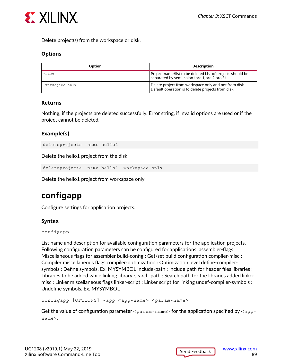

Delete project(s) from the workspace or disk.

#### **Options**

| <b>Option</b>   | <b>Description</b>                                                                                          |
|-----------------|-------------------------------------------------------------------------------------------------------------|
| -name           | Project name/list to be deleted List of projects should be<br>separated by semi-colon {proj1;proj2;proj3}.  |
| -workspace-only | Delete project from workspace only and not from disk.<br>Default operation is to delete projects from disk. |

#### **Returns**

Nothing, if the projects are deleted successfully. Error string, if invalid options are used or if the project cannot be deleted.

#### **Example(s)**

deleteprojects -name hello1

Delete the hello1 project from the disk.

deleteprojects -name hello1 -workspace-only

Delete the hello1 project from workspace only.

## **configapp**

Configure settings for application projects.

#### **Syntax**

```
configapp
```
List name and description for available configuration parameters for the application projects. Following configuration parameters can be configured for applications: assembler-flags : Miscellaneous flags for assembler build-config : Get/set build configuration compiler-misc : Compiler miscellaneous flags compiler-optimization : Optimization level define-compilersymbols : Define symbols. Ex. MYSYMBOL include-path : Include path for header files libraries : Libraries to be added while linking library-search-path : Search path for the libraries added linkermisc : Linker miscellaneous flags linker-script : Linker script for linking undef-compiler-symbols : Undefine symbols. Ex. MYSYMBOL

configapp [OPTIONS] -app <app-name> <param-name>

Get the value of configuration parameter  $\langle$  param-name> for the application specified by  $\langle$  appname>.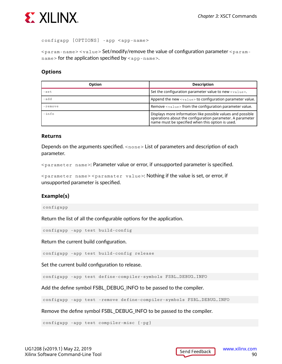

configapp [OPTIONS] -app <app-name>

<param-name> <value> Set/modify/remove the value of configuration parameter <param $name$  for the application specified by  $\langle$  app-name  $\rangle$ .

#### **Options**

| <b>Option</b> | <b>Description</b>                                                                                                                                                           |
|---------------|------------------------------------------------------------------------------------------------------------------------------------------------------------------------------|
| -set          | Set the configuration parameter value to new <value>.</value>                                                                                                                |
| -add          | Append the new $\langle \text{value} \rangle$ to configuration parameter value.                                                                                              |
| -remove       | Remove $\langle \text{value} \rangle$ from the configuration parameter value.                                                                                                |
| $-$ info      | Displays more information like possible values and possible<br>operations about the configuration parameter. A parameter<br>name must be specified when this option is used. |

#### **Returns**

Depends on the arguments specified. <none> List of parameters and description of each parameter.

<parameter name>: Parameter value or error, if unsupported parameter is specified.

<parameter name> <paramater value>: Nothing if the value is set, or error, if unsupported parameter is specified.

#### **Example(s)**

configapp

Return the list of all the configurable options for the application.

configapp -app test build-config

Return the current build configuration.

configapp -app test build-config release

Set the current build configuration to release.

configapp -app test define-compiler-symbols FSBL\_DEBUG\_INFO

Add the define symbol FSBL\_DEBUG\_INFO to be passed to the compiler.

configapp -app test -remove define-compiler-symbols FSBL\_DEBUG\_INFO

Remove the define symbol FSBL\_DEBUG\_INFO to be passed to the compiler.

configapp -app test compiler-misc {-pg}

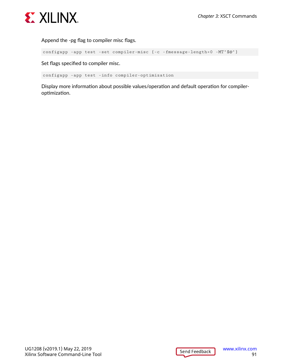

Append the -pg flag to compiler misc flags.

configapp -app test -set compiler-misc {-c -fmessage-length=0 -MT"\$@"}

Set flags specified to compiler misc.

configapp -app test -info compiler-optimization

Display more information about possible values/operation and default operation for compileroptimization.

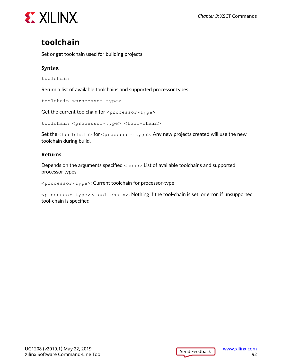

### **toolchain**

Set or get toolchain used for building projects

#### **Syntax**

```
toolchain
```
Return a list of available toolchains and supported processor types.

```
toolchain <processor-type>
```
Get the current toolchain for  $<$ processor-type>.

toolchain <processor-type> <tool-chain>

Set the  $<$ toolchain> for  $<$ processor-type>. Any new projects created will use the new toolchain during build.

#### **Returns**

Depends on the arguments specified  $<$ none> List of available toolchains and supported processor types

<processor-type>: Current toolchain for processor-type

<processor-type> <tool-chain>: Nothing if the tool-chain is set, or error, if unsupported tool-chain is specified

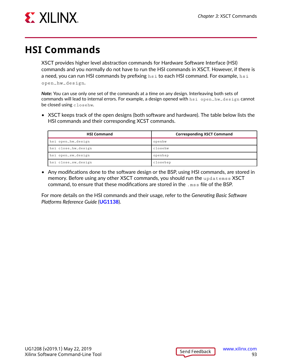

## **HSI Commands**

XSCT provides higher level abstraction commands for Hardware Software Interface (HSI) commands and you normally do not have to run the HSI commands in XSCT. However, if there is a need, you can run HSI commands by prefixing  $hsi$  to each HSI command. For example,  $hsi$ open\_hw\_design.

*Note***:** You can use only one set of the commands at a time on any design. Interleaving both sets of commands will lead to internal errors. For example, a design opened with hsi open\_hw\_design cannot be closed using closehw.

• XSCT keeps track of the open designs (both software and hardware). The table below lists the HSI commands and their corresponding XCST commands.

| <b>HSI Command</b>  | <b>Corresponding XSCT Command</b> |
|---------------------|-----------------------------------|
| hsi open_hw_design  | openhw                            |
| hsi close_hw_design | closehw                           |
| hsi open_sw_design  | openbsp                           |
| hsi close_sw_design | closebsp                          |

• Any modifications done to the software design or the BSP, using HSI commands, are stored in memory. Before using any other XSCT commands, you should run the updatemss XSCT command, to ensure that these modifications are stored in the .mss file of the BSP.

For more details on the HSI commands and their usage, refer to the *Generating Basic Software Platforms Reference Guide* (**[UG1138](http://www.xilinx.com/cgi-bin/docs/rdoc?v=2019.1;d=ug1138-generating-basic-software-platforms.pdf)**).

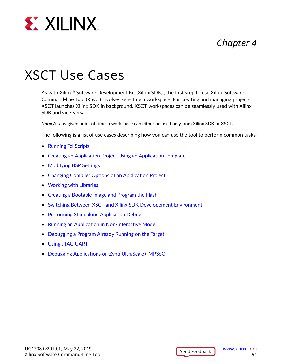

## *Chapter 4*

# XSCT Use Cases

As with Xilinx® Software Development Kit (Xilinx SDK) , the first step to use Xilinx Software Command-line Tool (XSCT) involves selecting a workspace. For creating and managing projects, XSCT launches Xilinx SDK in background. XSCT workspaces can be seamlessly used with Xilinx SDK and vice-versa.

*Note***:** At any given point of time, a workspace can either be used only from Xilinx SDK or XSCT.

The following is a list of use cases describing how you can use the tool to perform common tasks:

- [Running Tcl Scripts](#page-104-0)
- [Creating an Application Project Using an Application Template](#page-94-0)
- [Modifying BSP Settings](#page-100-0)
- [Changing Compiler Options of an Application Project](#page-94-0)
- [Working with Libraries](#page-107-0)
- [Creating a Bootable Image and Program the Flash](#page-94-0)
- [Switching Between XSCT and Xilinx SDK Developement Environment](#page-105-0)
- [Performing Standalone Application Debug](#page-100-0)
- [Running an Application in Non-Interactive Mode](#page-104-0)
- [Debugging a Program Already Running on the Target](#page-95-0)
- [Using JTAG UART](#page-106-0)
- [Debugging Applications on Zynq UltraScale+ MPSoC](#page-97-0)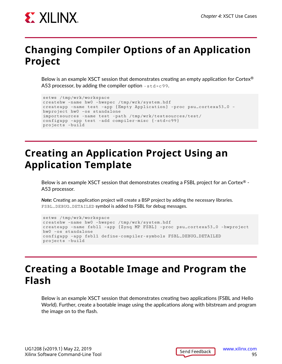<span id="page-94-0"></span>

## **Changing Compiler Options of an Application Project**

Below is an example XSCT session that demonstrates creating an empty application for Cortex® A53 processor, by adding the compiler option  $-$  s  $t$  d =  $c$  99.

```
setws /tmp/wrk/workspace
createhw –name hw0 –hwspec /tmp/wrk/system.hdf
createapp –name test –app {Empty Application} –proc psu_cortexa53_0 –
hwproject hw0 –os standalone
importsources -name test -path /tmp/wrk/testsources/test/
configapp –app test -add compiler-misc {-std=c99}
projects –build
```
## **Creating an Application Project Using an Application Template**

Below is an example XSCT session that demonstrates creating a FSBL project for an Cortex<sup>®</sup> -A53 processor.

*Note***:** Creating an application project will create a BSP project by adding the necessary libraries. FSBL\_DEBUG\_DETAILED symbol is added to FSBL for debug messages.

```
setws /tmp/wrk/workspace
createhw –name hw0 –hwspec /tmp/wrk/system.hdf
createapp –name fsbl1 –app {Zynq MP FSBL} –proc psu_cortexa53_0 –hwproject 
hw0 –os standalone
configapp –app fsbl1 define-compiler-symbols FSBL_DEBUG_DETAILED
projects –build
```
## **Creating a Bootable Image and Program the Flash**

Below is an example XSCT session that demonstrates creating two applications (FSBL and Hello World). Further, create a bootable image using the applications along with bitstream and program the image on to the flash.

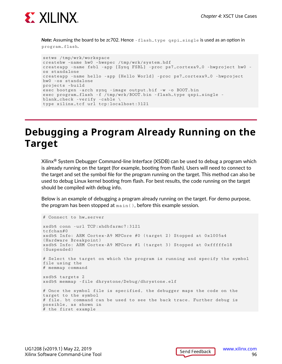<span id="page-95-0"></span>

**Note:** Assuming the board to be zc702. Hence -flash\_type qspi\_single is used as an option in program\_flash.

setws /tmp/wrk/workspace createhw –name hw0 –hwspec /tmp/wrk/system.hdf createapp -name fsbl -app {Zynq FSBL} -proc ps7\_cortexa9\_0 -hwproject hw0 os standalone createapp -name hello -app {Hello World} -proc ps7\_cortexa9\_0 -hwproject hw0 -os standalone projects –build exec bootgen -arch zynq -image output.bif -w -o BOOT.bin exec program\_flash -f /tmp/wrk/BOOT.bin -flash\_type qspi\_single blank\_check -verify -cable \ type xilinx\_tcf url tcp:localhost:3121

## **Debugging a Program Already Running on the Target**

Xilinx® System Debugger Command-line Interface (XSDB) can be used to debug a program which is already running on the target (for example, booting from flash). Users will need to connect to the target and set the symbol file for the program running on the target. This method can also be used to debug Linux kernel booting from flash. For best results, the code running on the target should be compiled with debug info.

Below is an example of debugging a program already running on the target. For demo purpose, the program has been stopped at  $\text{main}($ ), before this example session.

```
# Connect to hw_server
xsdb% conn -url TCP:xhdbfarmc7:3121
tcfchan#0
xsdb% Info: ARM Cortex-A9 MPCore #0 (target 2) Stopped at 0x1005a4 
(Hardware Breakpoint)
xsdb% Info: ARM Cortex-A9 MPCore #1 (target 3) Stopped at 0xfffffe18 
(Suspended)
# Select the target on which the program is running and specify the symbol 
file using the 
# memmap command
xsdb% targets 2
xsdb% memmap -file dhrystone/Debug/dhrystone.elf
# Once the symbol file is specified, the debugger maps the code on the 
target to the symbol 
# file. bt command can be used to see the back trace. Further debug is 
possible, as shown in 
# the first example
```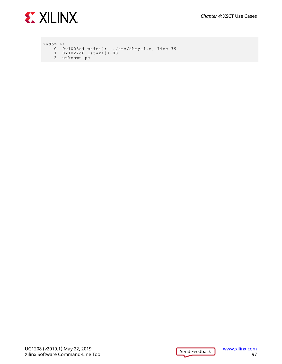

xsdb% bt 0 0x1005a4 main(): ../src/dhry\_1.c, line 79 1 0x1022d8 \_start()+88 2 unknown-pc

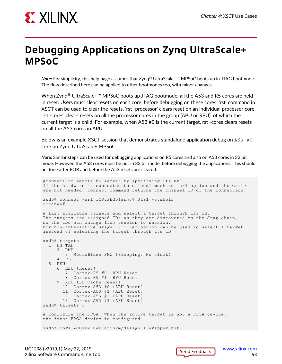<span id="page-97-0"></span>

## **Debugging Applications on Zynq UltraScale+ MPSoC**

*Note***:** For simplicity, this help page assumes that Zynq® UltraScale+™ MPSoC boots up in JTAG bootmode. The flow described here can be applied to other bootmodes too, with minor changes.

When Zynq® UltraScale+™ MPSoC boots up JTAG bootmode, all the A53 and R5 cores are held in reset. Users must clear resets on each core, before debugging on these cores. 'rst' command in XSCT can be used to clear the resets. 'rst -processor' clears reset on an individual processor core. 'rst -cores' clears resets on all the processor cores in the group (APU or RPU), of which the current target is a child. For example, when A53 #0 is the current target, rst -cores clears resets on all the A53 cores in APU.

Below is an example XSCT session that demonstrates standalone application debug on  $A53 \#0$ core on Zynq UltraScale+ MPSoC.

*Note***:** Similar steps can be used for debugging applications on R5 cores and also on A53 cores in 32 bit mode. However, the A53 cores must be put in 32 bit mode, before debugging the applications. This should be done after POR and before the A53 resets are cleared.

#connect to remote hw\_server by specifying its url. If the hardware is connected to a local machine,-url option and the <url> are not needed. connect command returns the channel ID of the connection xsdb% connect -url TCP:xhdbfarmc7:3121 -symbols tcfchan#0 # List available targets and select a target through its id. The targets are assigned IDs as they are discovered on the Jtag chain, so the IDs can change from session to session. For non-interactive usage, -filter option can be used to select a target, instead of selecting the target through its ID xsdb% targets 1 PS TAP 2 PMU 3 MicroBlaze PMU (Sleeping. No clock) 4 PL 5 PSU 6 RPU (Reset) 7 Cortex-R5 #0 (RPU Reset) 8 Cortex-R5 #1 (RPU Reset) 9 APU (L2 Cache Reset) 10 Cortex-A53 #0 (APU Reset)  $Cortex - A53$  #1 (APU Reset) 12 Cortex-A53 #2 (APU Reset) 13 Cortex-A53 #3 (APU Reset) xsdb% targets 5 # Configure the FPGA. When the active target is not a FPGA device, the first FPGA device is configured xsdb% fpga ZCU102\_HwPlatform/design\_1\_wrapper.bit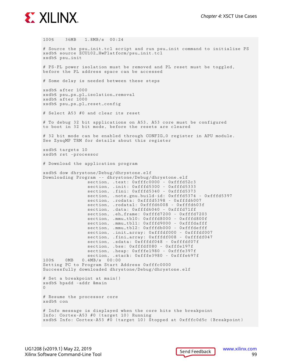

100% 36MB 1.8MB/s 00:24 # Source the psu\_init.tcl script and run psu\_init command to initialize PS xsdb% source ZCU102\_HwPlatform/psu\_init.tcl xsdb% psu\_init # PS-PL power isolation must be removed and PL reset must be toggled, before the PL address space can be accessed # Some delay is needed between these steps xsdb% after 1000 xsdb% psu\_ps\_pl\_isolation\_removal xsdb% after 1000 xsdb% psu\_ps\_pl\_reset\_config # Select A53 #0 and clear its reset # To debug 32 bit applications on A53, A53 core must be configured to boot in 32 bit mode, before the resets are cleared # 32 bit mode can be enabled through CONFIG\_0 register in APU module. See ZynqMP TRM for details about this register xsdb% targets 10 xsdb% rst -processor # Download the application program xsdb% dow dhrystone/Debug/dhrystone.elf Downloading Program -- dhrystone/Debug/dhrystone.elf section, .text: 0xfffc0000 - 0xfffd52c3 section, .init: 0xfffd5300 - 0xfffd5333 section, .fini: 0xfffd5340 - 0xfffd5373 section, .note.gnu.build-id: 0xfffd5374 - 0xfffd5397 section, .rodata: 0xfffd5398 - 0xfffd6007 section, .rodata1: 0xfffd6008 - 0xfffd603f section, .data: 0xfffd6040 - 0xfffd71ff section, .eh\_frame: 0xfffd7200 - 0xfffd7203 section, .mmu\_tbl0: 0xfffd8000 - 0xfffd800f section, .mmu\_tbl1: 0xfffd9000 - 0xfffdafff section, .mmu\_tbl2: 0xfffdb000 - 0xfffdefff section, .init\_array: 0xfffdf000 - 0xfffdf007 section, .fini\_array: 0xfffdf008 - 0xfffdf047 section, .sdata: 0xfffdf048 - 0xfffdf07f section, .bss: 0xfffdf080 - 0xfffe197f section, .heap: 0xfffe1980 - 0xfffe397f section, .stack: 0xfffe3980 - 0xfffe697f<br>100% 0MB 0.4MB/s 00:00  $0.4MB/s$   $00:00$ Setting PC to Program Start Address 0xfffc0000 Successfully downloaded dhrystone/Debug/dhrystone.elf # Set a breakpoint at main() xsdb% bpadd -addr &main  $\Omega$ # Resume the processor core xsdb% con # Info message is displayed when the core hits the breakpoint Info: Cortex-A53 #0 (target 10) Running xsdb% Info: Cortex-A53 #0 (target 10) Stopped at 0xfffc0d5c (Breakpoint)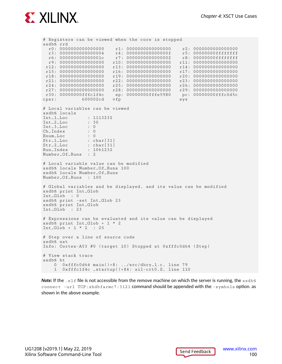

# Registers can be viewed when the core is stopped xsdb% rrd<br>r0: 0000000000000000 r0: 0000000000000000 r1: 0000000000000000 r2: 0000000000000000 r3: 0000000000000004 r4: 000000000000000f r5: 00000000ffffffff r6: 000000000000001c r7: 0000000000000002 r8: 00000000ffffffff r9: 0000000000000000 r10: 0000000000000000 r11: 0000000000000000 r12: 0000000000000000 r13: 0000000000000000 r14: 0000000000000000 r15: 000000000000000 r16: 000000000000000 r17: 000000000000000<br>r18: 000000000000000 r19: 000000000000000 r20: 000000000000000 r18: 000000000000000 r19: 000000000000000 r20: 0000000000000000<br>r21: 000000000000000 r22: 000000000000000 r23: 000000000000000 r21: 0000000000000000 r22: 0000000000000000 r23: 0000000000000000 r24: 0000000000000000 r25: 0000000000000000 r26: 0000000000000000 r28: 0000000000000000 r29: 0000000000000000<br>sp: 000000000fffe5980 pc: 00000000fffc0d5c r30: 00000000fffc1f4c sp: 00000000fffe5980 pc: 00000000fffc0d5c cpsr: 600002cd vfp sys # Local variables can be viewed xsdb% locals Int\_1\_Loc : 1113232<br>Int\_2\_Loc : 30  $Int_2\_Loc$  : 3<br> $Int_3\_Loc$  : 0 Int\_3\_Loc : 0<br>Ch\_Index : 0 Ch\_Index : 0<br>Enum\_Loc : 0  $Enum\_Loc$ Str\_1\_Loc : char[31]<br>Str\_2\_Loc : char[31] : char[31]<br>: 1061232 Run\_Index Number\_Of\_Runs : 2 # Local variable value can be modified xsdb% locals Number\_Of\_Runs 100 xsdb% locals Number\_Of\_Runs Number\_Of\_Runs : 100 # Global variables and be displayed, and its value can be modified xsdb% print Int\_Glob Int\_Glob : 0 xsdb% print -set Int\_Glob 23 xsdb% print Int\_Glob Int\_Glob : 23 # Expressions can be evaluated and its value can be displayed xsdb% print Int\_Glob + 1 \* 2 Int\_Glob + 1 \* 2 : 25 # Step over a line of source code xsdb% nxt Info: Cortex-A53 #0 (target 10) Stopped at 0xfffc0d64 (Step) # View stack trace  $x$ sdb $%$  bt<br>0 0 0 0xfffc0d64 main()+8: ../src/dhry\_1.c, line 79 1 0xfffc1f4c \_startup()+84: xil-crt0.S, line 110

**Note:** If the . elf file is not accessible from the remove machine on which the server is running, the xsdb% connect  $-url$  TCP:  $xhdbfarrow{7}:3121$  command should be appended with the  $-symbols$  option. as shown in the above example.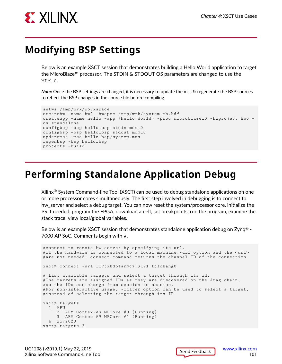<span id="page-100-0"></span>

## **Modifying BSP Settings**

Below is an example XSCT session that demonstrates building a Hello World application to target the MicroBlaze™ processor. The STDIN & STDOUT OS parameters are changed to use the MDM\_0.

*Note***:** Once the BSP settings are changed, it is necessary to update the mss & regenerate the BSP sources to reflect the BSP changes in the source file before compiling.

```
setws /tmp/wrk/workspace
createhw –name hw0 –hwspec /tmp/wrk/system_mb.hdf
createapp –name hello –app {Hello World} –proc microblaze_0 –hwproject hw0 –
os standalone
configbsp -bsp hello_bsp stdin mdm_0
configbsp –bsp hello_bsp stdout mdm_0
updatemss -mss hello_bsp/system.mss
regenbsp -bsp hello_bsp
projects –build
```
## **Performing Standalone Application Debug**

Xilinx® System Command-line Tool (XSCT) can be used to debug standalone applications on one or more processor cores simultaneously. The first step involved in debugging is to connect to hw server and select a debug target. You can now reset the system/processor core, initialize the PS if needed, program the FPGA, download an elf, set breakpoints, run the program, examine the stack trace, view local/global variables.

Below is an example XSCT session that demonstrates standalone application debug on Zynq® -7000 AP SoC. Comments begin with #.

```
#connect to remote hw_server by specifying its url. 
#If the hardware is connected to a local machine,-url option and the <url> 
#are not needed. connect command returns the channel ID of the connection
xsct% connect -url TCP:xhdbfarmc7:3121 tcfchan#0
# List available targets and select a target through its id. 
#The targets are assigned IDs as they are discovered on the Jtag chain, 
#so the IDs can change from session to session. 
#For non-interactive usage, -filter option can be used to select a target, 
#instead of selecting the target through its ID
xsct% targets
   1 APU
      2 ARM Cortex-A9 MPCore #0 (Running)
     3 ARM Cortex-A9 MPCore #1 (Running)
   4 xc7z020
xsct% targets 2
```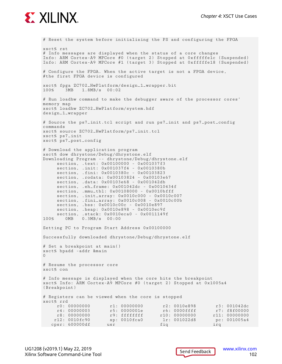

# Reset the system before initializing the PS and configuring the FPGA xsct% rst # Info messages are displayed when the status of a core changes Info: ARM Cortex-A9 MPCore #0 (target 2) Stopped at 0xfffffe1c (Suspended) Info: ARM Cortex-A9 MPCore #1 (target 3) Stopped at 0xfffffe18 (Suspended) # Configure the FPGA. When the active target is not a FPGA device, #the first FPGA device is configured xsct% fpga ZC702\_HwPlatform/design\_1\_wrapper.bit 100% 3MB 1.8MB/s 00:02 # Run loadhw command to make the debugger aware of the processor cores' memory map xsct% loadhw ZC702\_HwPlatform/system.hdf design\_1\_wrapper # Source the ps7\_init.tcl script and run ps7\_init and ps7\_post\_config commands xsct% source ZC702\_HwPlatform/ps7\_init.tcl xsct% ps7\_init xsct% ps7\_post\_config # Download the application program xsct% dow dhrystone/Debug/dhrystone.elf Downloading Program -- dhrystone/Debug/dhrystone.elf section, .text: 0x00100000 - 0x001037f3 section, .init: 0x001037f4 - 0x0010380b section, .fini: 0x0010380c - 0x00103823 section, .rodata: 0x00103824 - 0x00103e67 section, .data: 0x00103e68 - 0x001042db section, .eh\_frame: 0x001042dc - 0x0010434f section, .mmu\_tbl: 0x00108000 - 0x0010bfff section, .init\_array: 0x0010c000 - 0x0010c007 section, .fini\_array: 0x0010c008 - 0x0010c00b section, .bss: 0x0010c00c - 0x0010e897 section, .heap: 0x0010e898 - 0x0010ec9f section, .stack: 0x0010eca0 - 0x0011149f<br>100% 0MB 0.3MB/s 00:00  $0MB$  0.3MB/s  $00:00$ Setting PC to Program Start Address 0x00100000 Successfully downloaded dhrystone/Debug/dhrystone.elf # Set a breakpoint at main() xsct% bpadd -addr &main  $\Omega$ # Resume the processor core xsct% con # Info message is displayed when the core hits the breakpoint xsct% Info: ARM Cortex-A9 MPCore #0 (target 2) Stopped at 0x1005a4 (Breakpoint) # Registers can be viewed when the core is stopped xsct% rrd<br>r0: 00000000 r0: 00000000 r1: 00000000 r2: 0010e898 r3: 001042dc r4: 00000003 r5: 0000001e r6: 0000ffff r7: f8f00000 r8: 00000000 r9: ffffffff r10: 00000000 r11: 00000000<br>r12: 0010fc90 sp: 0010fca0 1r: 001022d8 pc: 001005a4 r12: 0010fca0 sp: 001022d8<br>usr fiq cpsr: 600000df usr fiq irq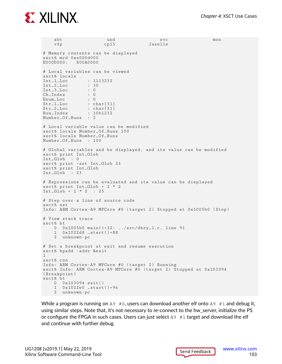

abt und svc mon vfp cp15 Jazelle # Memory contents can be displayed xsct% mrd 0xe000d000  $E000D000$ : # Local variables can be viewed xsct% locals Int\_1\_Loc : 1113232  $Int_2\_Loc$  : 3<br> $Int_3\_Loc$  : 0 Int\_3\_Loc : 0<br>Ch\_Index : 0  $Ch\_Index$ Enum\_Loc : 0<br>Str\_1\_Loc : c Str\_1\_Loc : char[31]<br>Str\_2\_Loc : char[31] Str\_2\_Loc : char[31]<br>Run\_Index : 1061232 : 1061232 Number\_Of\_Runs : 2 # Local variable value can be modified xsct% locals Number\_Of\_Runs 100 xsct% locals Number\_Of\_Runs Number\_Of\_Runs : 100 # Global variables and be displayed, and its value can be modified xsct% print Int\_Glob Int\_Glob : 0 xsct% print -set Int\_Glob 23 xsct% print Int\_Glob Int\_Glob : 23 # Expressions can be evaluated and its value can be displayed xsct% print Int\_Glob + 1 \* 2 Int\_Glob + 1 \* 2 : 25 # Step over a line of source code xsct% nxt Info: ARM Cortex-A9 MPCore #0 (target 2) Stopped at 0x1005b0 (Step) # View stack trace  $x \, \text{sct} \, \%$  bt<br>0 0: 0 0x1005b0 main()+12: ../src/dhry\_1.c, line 91 1 0x1022d8 \_start()+88 2 unknown-pc # Set a breakpoint at exit and resume execution xsct% bpadd -addr &exit 1 xsct% con Info: ARM Cortex-A9 MPCore #0 (target 2) Running xsct% Info: ARM Cortex-A9 MPCore #0 (target 2) Stopped at 0x103094 (Breakpoint) xsct% bt 0 0x103094 exit() 1 0x1022e0 \_start()+96 2 unknown-pc

While a program is running on A9  $#0$ , users can download another elf onto A9  $#1$  and debug it, using similar steps. Note that, it's not necessary to re-connect to the hw\_server, initialize the PS or configure the FPGA in such cases. Users can just select  $A9 \#1$  target and download the elf and continue with further debug.

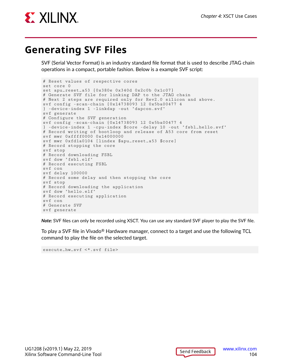

## **Generating SVF Files**

SVF (Serial Vector Format) is an industry standard file format that is used to describe JTAG chain operations in a compact, portable fashion. Below is a example SVF script:

```
# Reset values of respective cores
set core 0
set apu_reset_a53 {0x380e 0x340d 0x2c0b 0x1c07}
# Generate SVF file for linking DAP to the JTAG chain
# Next 2 steps are required only for Rev2.0 silicon and above.
svf config -scan-chain {0x14738093 12 0x5ba00477 4
} -device-index 1 -linkdap -out "dapcon.svf"
svf generate
# Configure the SVF generation
svf config -scan-chain {0x14738093 12 0x5ba00477 4
} -device-index 1 -cpu-index $core -delay 10 -out "fsbl_hello.svf"
# Record writing of bootloop and release of A53 core from reset
svf mwr 0xffff0000 0x14000000
svf mwr 0xfd1a0104 [lindex $apu_reset_a53 $core]
# Record stopping the core
svf stop
# Record downloading FSBL
svf dow "fsbl.elf"
# Record executing FSBL
svf con
svf delay 100000
# Record some delay and then stopping the core
svf stop
# Record downloading the application
svf dow "hello.elf"
# Record executing application
svf con
# Generate SVF
svf generate
```
*Note***:** SVF files can only be recorded using XSCT. You can use any standard SVF player to play the SVF file.

To play a SVF file in Vivado® Hardware manager, connect to a target and use the following TCL command to play the file on the selected target.

execute\_hw\_svf <\*.svf file>

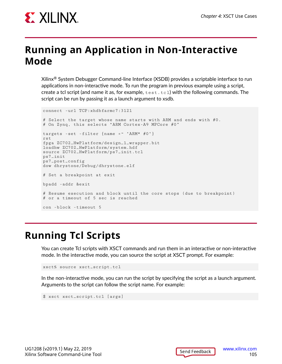<span id="page-104-0"></span>

## **Running an Application in Non-Interactive Mode**

Xilinx® System Debugger Command-line Interface (XSDB) provides a scriptable interface to run applications in non-interactive mode. To run the program in previous example using a script, create a tcl script (and name it as, for example,  $test.tc1$ ) with the following commands. The script can be run by passing it as a launch argument to xsdb.

```
connect -url TCP:xhdbfarmc7:3121
# Select the target whose name starts with ARM and ends with #0. 
# On Zynq, this selects "ARM Cortex-A9 MPCore #0"
targets -set -filter {name =~ "ARM* #0"}
rst
fpga ZC702_HwPlatform/design_1_wrapper.bit
loadhw ZC702_HwPlatform/system.hdf
source ZC702_HwPlatform/ps7_init.tcl
ps7_init
ps7_post_config
dow dhrystone/Debug/dhrystone.elf
# Set a breakpoint at exit
bpadd -addr &exit
# Resume execution and block until the core stops (due to breakpoint) 
# or a timeout of 5 sec is reached
con -block -timeout 5
```
## **Running Tcl Scripts**

You can create Tcl scripts with XSCT commands and run them in an interactive or non-interactive mode. In the interactive mode, you can source the script at XSCT prompt. For example:

```
xsct% source xsct_script.tcl
```
In the non-interactive mode, you can run the script by specifying the script as a launch argument. Arguments to the script can follow the script name. For example:

```
$ xsct xsct_script.tcl [args]
```
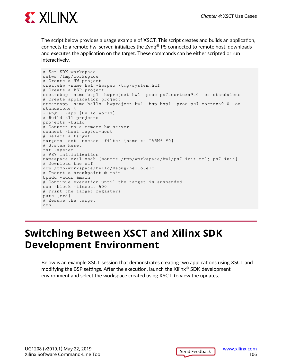<span id="page-105-0"></span>

The script below provides a usage example of XSCT. This script creates and builds an application, connects to a remote hw server, initializes the Zynq® PS connected to remote host, downloads and executes the application on the target. These commands can be either scripted or run interactively.

```
# Set SDK workspace
setws /tmp/workspace
# Create a HW project
createhw -name hw1 -hwspec /tmp/system.hdf
# Create a BSP project
createbsp -name bsp1 -hwproject hw1 -proc ps7_cortexa9_0 -os standalone
# Create application project
createapp -name hello -hwproject hw1 -bsp bsp1 -proc ps7_cortexa9_0 -os 
standalone \
-lang C -app {Hello World}
# Build all projects
projects -build
# Connect to a remote hw_server
connect -host raptor-host
# Select a target
targets -set -nocase -filter {\{name = \sim "ARM* #0\}}# System Reset
rst -system
# PS7 initialization
namespace eval xsdb {source /tmp/workspace/hw1/ps7_init.tcl; ps7_init}
# Download the elf
dow /tmp/workspace/hello/Debug/hello.elf
# Insert a breakpoint @ main
bpadd -addr &main
# Continue execution until the target is suspended
con -block -timeout 500
# Print the target registers
puts [rrd]
# Resume the target
con
```
## **Switching Between XSCT and Xilinx SDK Development Environment**

Below is an example XSCT session that demonstrates creating two applications using XSCT and modifying the BSP settings. After the execution, launch the Xilinx® SDK development environment and select the workspace created using XSCT, to view the updates.

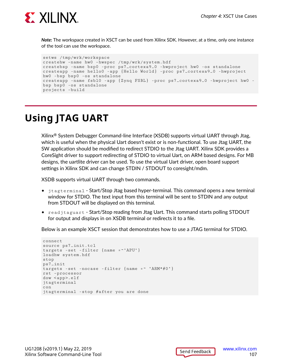<span id="page-106-0"></span>

*Note***:** The workspace created in XSCT can be used from Xilinx SDK. However, at a time, only one instance of the tool can use the workspace.

```
setws /tmp/wrk/workspace
createhw –name hw0 –hwspec /tmp/wrk/system.hdf
createbsp -name bsp0 -proc ps7_cortexa9_0 -hwproject hw0 -os standalone
createapp -name hello0 -app {Hello World} -proc ps7_cortexa9_0 -hwproject 
hw0 -bsp bsp0 -os standalone
createapp -name fsbl0 -app {Zynq FSBL} -proc ps7_cortexa9_0 -hwproject hw0 -
bsp bsp0 -os standalone
projects –build
```
## **Using JTAG UART**

Xilinx® System Debugger Command-line Interface (XSDB) supports virtual UART through Jtag, which is useful when the physical Uart doesn't exist or is non-functional. To use Jtag UART, the SW application should be modified to redirect STDIO to the Jtag UART. Xilinx SDK provides a CoreSight driver to support redirecting of STDIO to virtual Uart, on ARM based designs. For MB designs, the uartlite driver can be used. To use the virtual Uart driver, open board support settings in Xilinx SDK and can change STDIN / STDOUT to coresight/mdm.

XSDB supports virtual UART through two commands.

- jtagterminal Start/Stop Jtag based hyper-terminal. This command opens a new terminal window for STDIO. The text input from this terminal will be sent to STDIN and any output from STDOUT will be displayed on this terminal.
- readjtaguart Start/Stop reading from Jtag Uart. This command starts polling STDOUT for output and displays in on XSDB terminal or redirects it to a file.

Below is an example XSCT session that demonstrates how to use a JTAG terminal for STDIO.

```
connect
source ps7_init.tcl
targets -set -filter {name =~"APU"}
loadhw system.hdf
stop
ps7_init
targets -set -nocase -filter {name = "ARM*#0"}
rst –processor
dow <app>.elf
jtagterminal
con
jtagterminal -stop #after you are done
```
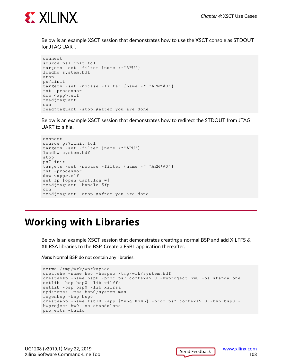<span id="page-107-0"></span>

Below is an example XSCT session that demonstrates how to use the XSCT console as STDOUT for JTAG UART.

```
connect
source ps7_init.tcl
targets -set -filter {name =~"APU"}
loadhw system.hdf
stop
ps7_init
targets -set -nocase -filter {name =~ "ARM*#0"}
rst –processor
dow <app>.elf
readjtaguart
con
readjtaguart -stop #after you are done
```
Below is an example XSCT session that demonstrates how to redirect the STDOUT from JTAG UART to a file.

```
connect
source ps7_init.tcl
targets -set -filter {name =~"APU"}
loadhw system.hdf
stop
ps7_init
targets -set -nocase -filter {name =~ "ARM*#0"}
rst –processor
dow <app>.elf
set fp [open uart.log w]
readjtaguart -handle $fp
con
readjtaguart -stop #after you are done
```
## **Working with Libraries**

Below is an example XSCT session that demonstrates creating a normal BSP and add XILFFS & XILRSA libraries to the BSP. Create a FSBL application thereafter.

*Note***:** Normal BSP do not contain any libraries.

```
setws /tmp/wrk/workspace
createhw –name hw0 –hwspec /tmp/wrk/system.hdf
createbsp -name bsp0 -proc ps7_cortexa9_0 -hwproject hw0 -os standalone
setlib -bsp bsp0 -lib xilffs
setlib -bsp bsp0 -lib xilrsa
updatemss -mss bsp0/system.mss
regenbsp -bsp bsp0
createapp -name fsbl0 -app {Zynq FSBL} -proc ps7_cortexa9_0 -bsp bsp0 -
hwproject hw0 -os standalone
projects –build
```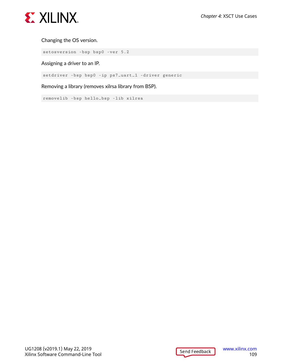

Changing the OS version.

setosversion -bsp bsp0 -ver 5.2

Assigning a driver to an IP.

setdriver -bsp bsp0 -ip ps7\_uart\_1 -driver generic

Removing a library (removes xilrsa library from BSP).

removelib -bsp hello\_bsp -lib xilrsa

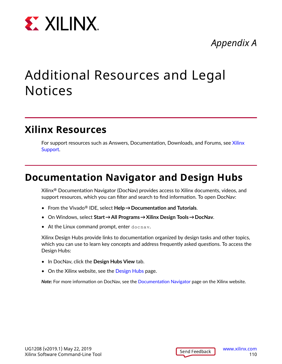

## *Appendix A*

# Additional Resources and Legal Notices

#### **Xilinx Resources**

For support resources such as Answers, Documentation, Downloads, and Forums, see [Xilinx](https://www.xilinx.com/support) [Support.](https://www.xilinx.com/support)

### **Documentation Navigator and Design Hubs**

 $Xilinx<sup>®</sup>$  Documentation Navigator (DocNav) provides access to Xilinx documents, videos, and support resources, which you can filter and search to find information. To open DocNav:

- From the Vivado® IDE, select **Help → Documentation and Tutorials**.
- On Windows, select **Start → All Programs → Xilinx Design Tools → DocNav**.
- At the Linux command prompt, enter docnav.

Xilinx Design Hubs provide links to documentation organized by design tasks and other topics, which you can use to learn key concepts and address frequently asked questions. To access the Design Hubs:

- In DocNav, click the **Design Hubs View** tab.
- On the Xilinx website, see the [Design Hubs](https://www.xilinx.com/cgi-bin/docs/ndoc?t=design+hubs) page.

*Note***:** For more information on DocNav, see the [Documentation Navigator](https://www.xilinx.com/cgi-bin/docs/rdoc?t=docnav) page on the Xilinx website.

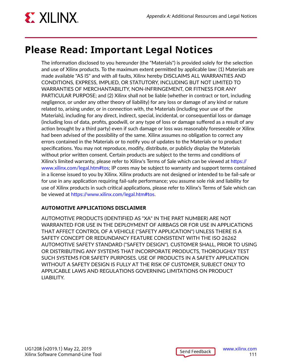

### **Please Read: Important Legal Notices**

The information disclosed to you hereunder (the "Materials") is provided solely for the selection and use of Xilinx products. To the maximum extent permitted by applicable law: (1) Materials are made available "AS IS" and with all faults, Xilinx hereby DISCLAIMS ALL WARRANTIES AND CONDITIONS, EXPRESS, IMPLIED, OR STATUTORY, INCLUDING BUT NOT LIMITED TO WARRANTIES OF MERCHANTABILITY, NON-INFRINGEMENT, OR FITNESS FOR ANY PARTICULAR PURPOSE; and (2) Xilinx shall not be liable (whether in contract or tort, including negligence, or under any other theory of liability) for any loss or damage of any kind or nature related to, arising under, or in connection with, the Materials (including your use of the Materials), including for any direct, indirect, special, incidental, or consequential loss or damage (including loss of data, profits, goodwill, or any type of loss or damage suffered as a result of any action brought by a third party) even if such damage or loss was reasonably foreseeable or Xilinx had been advised of the possibility of the same. Xilinx assumes no obligation to correct any errors contained in the Materials or to notify you of updates to the Materials or to product specifications. You may not reproduce, modify, distribute, or publicly display the Materials without prior written consent. Certain products are subject to the terms and conditions of Xilinx's limited warranty, please refer to Xilinx's Terms of Sale which can be viewed at [https://](https://www.xilinx.com/legal.htm#tos) [www.xilinx.com/legal.htm#tos](https://www.xilinx.com/legal.htm#tos); IP cores may be subject to warranty and support terms contained in a license issued to you by Xilinx. Xilinx products are not designed or intended to be fail-safe or for use in any application requiring fail-safe performance; you assume sole risk and liability for use of Xilinx products in such critical applications, please refer to Xilinx's Terms of Sale which can be viewed at [https://www.xilinx.com/legal.htm#tos.](https://www.xilinx.com/legal.htm#tos)

#### **AUTOMOTIVE APPLICATIONS DISCLAIMER**

AUTOMOTIVE PRODUCTS (IDENTIFIED AS "XA" IN THE PART NUMBER) ARE NOT WARRANTED FOR USE IN THE DEPLOYMENT OF AIRBAGS OR FOR USE IN APPLICATIONS THAT AFFECT CONTROL OF A VEHICLE ("SAFETY APPLICATION") UNLESS THERE IS A SAFETY CONCEPT OR REDUNDANCY FEATURE CONSISTENT WITH THE ISO 26262 AUTOMOTIVE SAFETY STANDARD ("SAFETY DESIGN"). CUSTOMER SHALL, PRIOR TO USING OR DISTRIBUTING ANY SYSTEMS THAT INCORPORATE PRODUCTS, THOROUGHLY TEST SUCH SYSTEMS FOR SAFETY PURPOSES. USE OF PRODUCTS IN A SAFETY APPLICATION WITHOUT A SAFETY DESIGN IS FULLY AT THE RISK OF CUSTOMER, SUBJECT ONLY TO APPLICABLE LAWS AND REGULATIONS GOVERNING LIMITATIONS ON PRODUCT LIABILITY.